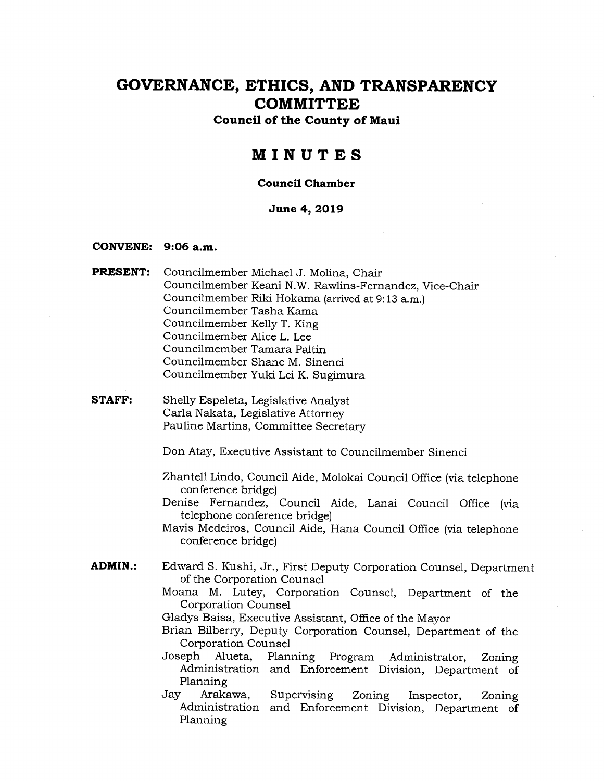**Council of the County of Maui** 

### **MINUTES**

#### **Council Chamber**

#### **June 4, 2019**

#### **CONVENE: 9:06 a.m.**

- **PRESENT: Councilmember** Michael J. Molina, Chair Councilmember Keani N.W. Rawlins-Fernandez, Vice-Chair Councilmember Riki Hokama (arrived at 9:13 a.m.) Councilmember Tasha Kama Councilmember Kelly T. King Councilmember Alice L. Lee Councilmember Tamara Paltin Councilmember Shane M. Sinenci Councilmember Yuki Lei K. Sugimura
- **STAFF:** Shelly Espeleta, Legislative Analyst Carla Nakata, Legislative Attorney Pauline Martins, Committee Secretary

Don Atay, Executive Assistant to Councilmember Sinenci

- Zhantell Lindo, Council Aide, Molokai Council Office (via telephone conference bridge)
- Denise Fernandez, Council Aide, Lanai Council Office (via telephone conference bridge)
- Mavis Medeiros, Council Aide, Hana Council Office (via telephone conference bridge)
- **ADMIN.:** Edward S. Kushi, Jr., First Deputy Corporation Counsel, Department of the Corporation Counsel
	- Moana M. Lutey, Corporation Counsel, Department of the Corporation Counsel

Gladys Baisa, Executive Assistant, Office of the Mayor

- Brian Bilberry, Deputy Corporation Counsel, Department of the Corporation Counsel
- Joseph Alueta, Planning Program Administrator, Zoning Administration and Enforcement Division, Department of Planning
- Jay Arakawa, Supervising Zoning Inspector, Zoning Administration and Enforcement Division, Department of Planning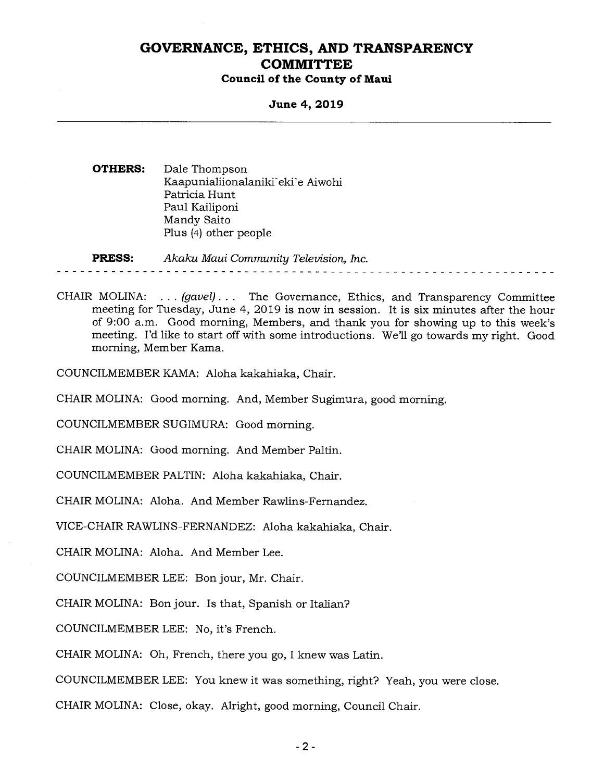#### **Council of the County of Maui**

**June 4, 2019** 

**OTHERS:** Dale Thompson Kaapunialiionalaniki-eki'e Aiwohi Patricia Hunt Paul Kailiponi Mandy Saito Plus (4) other people

**PRESS:** *Akaku Maui Community Television, Inc.* 

CHAIR MOLINA: . . . *(gavel) . . .* The Governance, Ethics, and Transparency Committee meeting for Tuesday, June 4, 2019 is now in session. It is six minutes after the hour of 9:00 a.m. Good morning, Members, and thank you for showing up to this week's meeting. I'd like to start off with some introductions. We'll go towards my right. Good morning, Member Kama.

COUNCILMEMBER KAMA: Aloha kakahiaka, Chair.

CHAIR MOLINA: Good morning. And, Member Sugimura, good morning.

COUNCILMEMBER SUGIMURA: Good morning.

CHAIR MOLINA: Good morning. And Member Paltin.

COUNCILMEMBER PALTIN: Aloha kakahiaka, Chair.

CHAIR MOLINA: Aloha. And Member Rawlins-Fernandez.

VICE-CHAIR RAWLINS-FERNANDEZ: Aloha kakahiaka, Chair.

CHAIR MOLINA: Aloha. And Member Lee.

COUNCILMEMBER LEE: Bon jour, Mr. Chair.

CHAIR MOLINA: Bon jour. Is that, Spanish or Italian?

COUNCILMEMBER LEE: No, it's French.

CHAIR MOLINA: Oh, French, there you go, I knew was Latin.

COUNCILMEMBER LEE: You knew it was something, right? Yeah, you were close.

CHAIR MOLINA: Close, okay. Alright, good morning, Council Chair.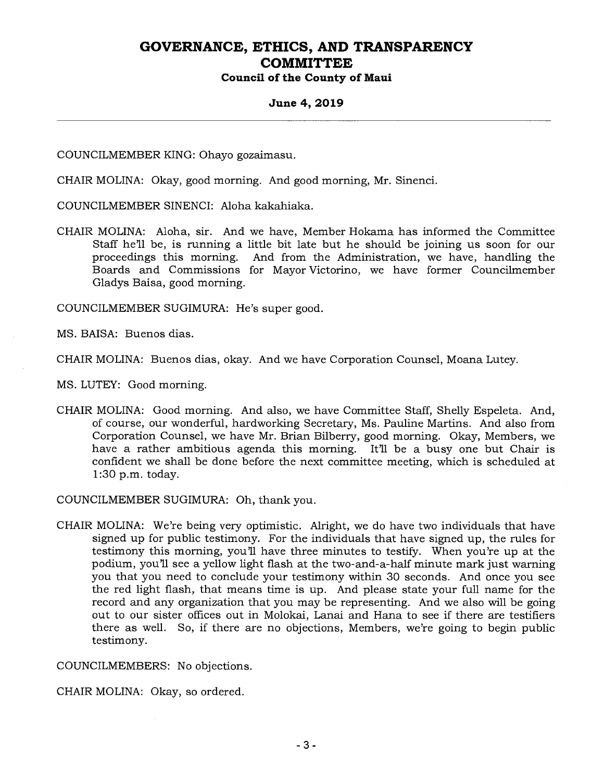### **Council of the County of Maui**

#### **June 4, 2019**

COUNCILMEMBER KING: Ohayo gozaimasu.

CHAIR MOLINA: Okay, good morning. And good morning, Mr. Sinenci.

COUNCILMEMBER SINENCI: Aloha kakahiaka.

CHAIR MOLINA: Aloha, sir. And we have, Member Hokama has informed the Committee Staff he'll be, is running a little bit late but he should be joining us soon for our proceedings this morning. And from the Administration, we have, handling the Boards and Commissions for Mayor Victorino, we have former Councilmember Gladys Baisa, good morning.

COUNCILMEMBER SUGIMURA: He's super good.

MS. BAISA: Buenos dias.

CHAIR MOLINA: Buenos dias, okay. And we have Corporation Counsel, Moana Lutey.

MS. LUTEY: Good morning.

CHAIR MOLINA: Good morning. And also, we have Committee Staff, Shelly Espeleta. And, of course, our wonderful, hardworking Secretary, Ms. Pauline Martins. And also from Corporation Counsel, we have Mr. Brian Bilberry, good morning. Okay, Members, we have a rather ambitious agenda this morning. It'll be a busy one but Chair is confident we shall be done before the next committee meeting, which is scheduled at 1:30 p.m. today.

COUNCILMEMBER SUGIMURA: Oh, thank you.

CHAIR MOLINA: We're being very optimistic. Alright, we do have two individuals that have signed up for public testimony. For the individuals that have signed up, the rules for testimony this morning, you'll have three minutes to testify. When you're up at the podium, you'll see a yellow light flash at the two-and-a-half minute mark just warning you that you need to conclude your testimony within 30 seconds. And once you see the red light flash, that means time is up. And please state your full name for the record and any organization that you may be representing. And we also will be going out to our sister offices out in Molokai, Lanai and Hana to see if there are testifiers there as well. So, if there are no objections, Members, we're going to begin public testimony.

COUNCILMEMBERS: No objections.

CHAIR MOLINA: Okay, so ordered.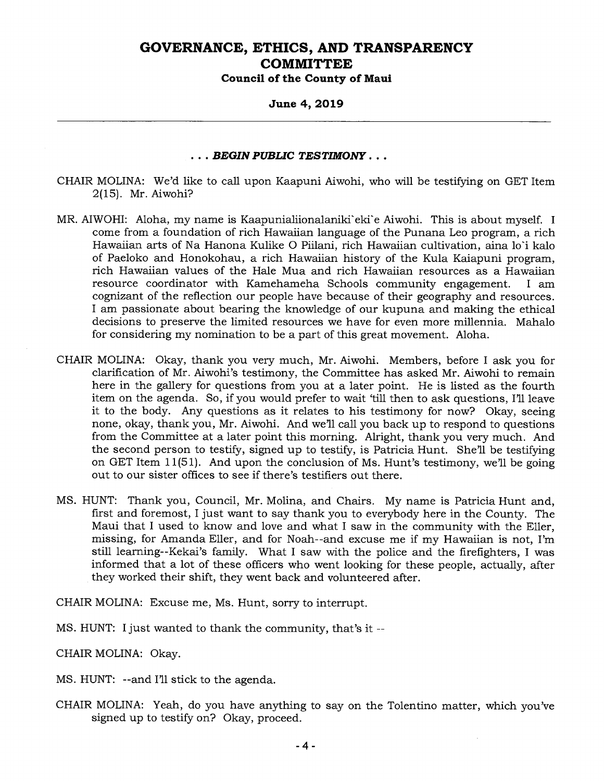**Council of the County of Maui** 

**June 4, 2019** 

#### *. . . BEGIN PUBLIC TESTIMONY . . .*

- CHAIR MOLINA: We'd like to call upon Kaapuni Aiwohi, who will be testifying on GET Item 2(15). Mr. Aiwohi?
- MR. AIWOHI: Aloha, my name is Kaapunialiionalaniki'eki'e Aiwohi. This is about myself. I come from a foundation of rich Hawaiian language of the Punana Leo program, a rich Hawaiian arts of Na Hanona Kulike 0 Piilani, rich Hawaiian cultivation, aina lo'i kalo of Paeloko and Honokohau, a rich Hawaiian history of the Kula Kaiapuni program, rich Hawaiian values of the Hale Mua and rich Hawaiian resources as a Hawaiian resource coordinator with Kamehameha Schools community engagement. I am cognizant of the reflection our people have because of their geography and resources. I am passionate about bearing the knowledge of our kupuna and making the ethical decisions to preserve the limited resources we have for even more millennia. Mahalo for considering my nomination to be a part of this great movement. Aloha.
- CHAIR MOLINA: Okay, thank you very much, Mr. Aiwohi. Members, before I ask you for clarification of Mr. Aiwohi's testimony, the Committee has asked Mr. Aiwohi to remain here in the gallery for questions from you at a later point. He is listed as the fourth item on the agenda. So, if you would prefer to wait 'till then to ask questions, I'll leave it to the body. Any questions as it relates to his testimony for now? Okay, seeing none, okay, thank you, Mr. Aiwohi. And we'll call you back up to respond to questions from the Committee at a later point this morning. Alright, thank you very much. And the second person to testify, signed up to testify, is Patricia Hunt. She'll be testifying on GET Item 11(51). And upon the conclusion of Ms. Hunt's testimony, we'll be going out to our sister offices to see if there's testifiers out there.
- MS. HUNT: Thank you, Council, Mr. Molina, and Chairs. My name is Patricia Hunt and, first and foremost, I just want to say thank you to everybody here in the County. The Maui that I used to know and love and what I saw in the community with the Eller, missing, for Amanda Eller, and for Noah--and excuse me if my Hawaiian is not, I'm still learning--Kekai's family. What I saw with the police and the firefighters, I was informed that a lot of these officers who went looking for these people, actually, after they worked their shift, they went back and volunteered after.

CHAIR MOLINA: Excuse me, Ms. Hunt, sorry to interrupt.

MS. HUNT: I just wanted to thank the community, that's it --

CHAIR MOLINA: Okay.

- MS. HUNT: --and I'll stick to the agenda.
- CHAIR MOLINA: Yeah, do you have anything to say on the Tolentino matter, which you've signed up to testify on? Okay, proceed.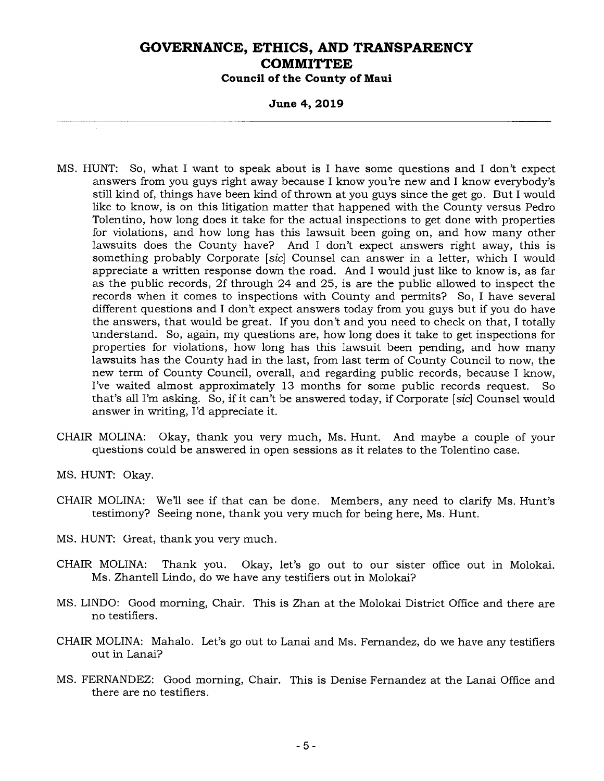**Council of the County of Maui** 

**June 4, 2019** 

- MS. HUNT: So, what I want to speak about is I have some questions and I don't expect answers from you guys right away because I know you're new and I know everybody's still kind of, things have been kind of thrown at you guys since the get go. But I would like to know, is on this litigation matter that happened with the County versus Pedro Tolentino, how long does it take for the actual inspections to get done with properties for violations, and how long has this lawsuit been going on, and how many other lawsuits does the County have? And I don't expect answers right away, this is something probably Corporate *[sic]* Counsel can answer in a letter, which I would appreciate a written response down the road. And I would just like to know is, as far as the public records, 2f through 24 and 25, is are the public allowed to inspect the records when it comes to inspections with County and permits? So, I have several different questions and I don't expect answers today from you guys but if you do have the answers, that would be great. If you don't and you need to check on that, I totally understand. So, again, my questions are, how long does it take to get inspections for properties for violations, how long has this lawsuit been pending, and how many lawsuits has the County had in the last, from last term of County Council to now, the new term of County Council, overall, and regarding public records, because I know, I've waited almost approximately 13 months for some public records request. So that's all I'm asking. So, if it can't be answered today, if Corporate *[sic]* Counsel would answer in writing, I'd appreciate it.
- CHAIR MOLINA: Okay, thank you very much, Ms. Hunt. And maybe a couple of your questions could be answered in open sessions as it relates to the Tolentino case.
- MS. HUNT: Okay.
- CHAIR MOLINA: We'll see if that can be done. Members, any need to clarify Ms. Hunt's testimony? Seeing none, thank you very much for being here, Ms. Hunt.
- MS. HUNT: Great, thank you very much.
- CHAIR MOLINA: Thank you. Okay, let's go out to our sister office out in Molokai. Ms. Zhantell Lindo, do we have any testifiers out in Molokai?
- MS. LINDO: Good morning, Chair. This is Zhan at the Molokai District Office and there are no testifiers.
- CHAIR MOLINA: Mahalo. Let's go out to Lanai and Ms. Fernandez, do we have any testifiers out in Lanai?
- MS. FERNANDEZ: Good morning, Chair. This is Denise Fernandez at the Lanai Office and there are no testifiers.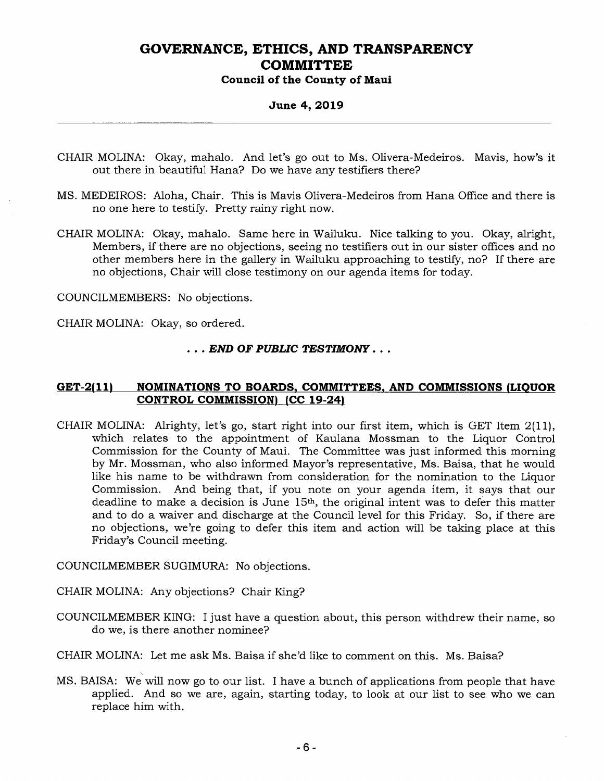#### **June 4, 2019**

- CHAIR MOLINA: Okay, mahalo. And let's go out to Ms. Olivera-Medeiros. Mavis, how's it out there in beautiful Hana? Do we have any testifiers there?
- MS. MEDEIROS: Aloha, Chair. This is Mavis Olivera-Medeiros from Hana Office and there is no one here to testify. Pretty rainy right now.
- CHAIR MOLINA: Okay, mahalo. Same here in Wailuku. Nice talking to you. Okay, alright, Members, if there are no objections, seeing no testifiers out in our sister offices and no other members here in the gallery in Wailuku approaching to testify, no? If there are no objections, Chair will close testimony on our agenda items for today.

COUNCILMEMBERS: No objections.

CHAIR MOLINA: Okay, so ordered.

#### . . . *END OF PUBLIC TESTIMONY . .*

#### **GET-2(11) NOMINATIONS TO BOARDS, COMMITTEES, AND COMMISSIONS (LIQUOR CONTROL COMMISSION) (CC 19-24)**

CHAIR MOLINA: Alrighty, let's go, start right into our first item, which is GET Item 2(11), which relates to the appointment of Kaulana Mossman to the Liquor Control Commission for the County of Maui. The Committee was just informed this morning by Mr. Mossman, who also informed Mayor's representative, Ms. Baisa, that he would like his name to be withdrawn from consideration for the nomination to the Liquor Commission. And being that, if you note on your agenda item, it says that our deadline to make a decision is June 15th, the original intent was to defer this matter and to do a waiver and discharge at the Council level for this Friday. So, if there are no objections, we're going to defer this item and action will be taking place at this Friday's Council meeting.

COUNCILMEMBER SUGIMURA: No objections.

CHAIR MOLINA: Any objections? Chair King?

COUNCILMEMBER KING: I just have a question about, this person withdrew their name, so do we, is there another nominee?

CHAIR MOLINA: Let me ask Ms. Baisa if she'd like to comment on this. Ms. Baisa?

MS. BAISA: We will now go to our list. I have a bunch of applications from people that have applied. And so we are, again, starting today, to look at our list to see who we can replace him with.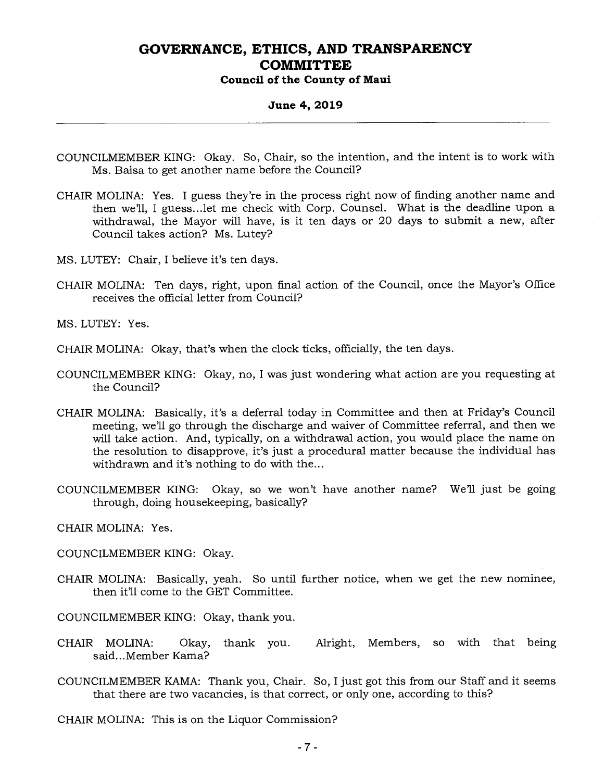#### **June 4, 2019**

- COUNCILMEMBER KING: Okay. So, Chair, so the intention, and the intent is to work with Ms. Baisa to get another name before the Council?
- CHAIR MOLINA: Yes. I guess they're in the process right now of finding another name and then we'll, I guess...let me check with Corp. Counsel. What is the deadline upon a withdrawal, the Mayor will have, is it ten days or 20 days to submit a new, after Council takes action? Ms. Lutey?
- MS. LUTEY: Chair, I believe it's ten days.
- CHAIR MOLINA: Ten days, right, upon final action of the Council, once the Mayor's Office receives the official letter from Council?
- MS. LUTEY: Yes.
- CHAIR MOLINA: Okay, that's when the clock ticks, officially, the ten days.
- COUNCILMEMBER KING: Okay, no, I was just wondering what action are you requesting at the Council?
- CHAIR MOLINA: Basically, it's a deferral today in Committee and then at Friday's Council meeting, we'll go through the discharge and waiver of Committee referral, and then we will take action. And, typically, on a withdrawal action, you would place the name on the resolution to disapprove, it's just a procedural matter because the individual has withdrawn and it's nothing to do with the...
- COUNCILMEMBER KING: Okay, so we won't have another name? We'll just be going through, doing housekeeping, basically?
- CHAIR MOLINA: Yes.
- COUNCILMEMBER KING: Okay.
- CHAIR MOLINA: Basically, yeah. So until further notice, when we get the new nominee, then it'll come to the GET Committee.

COUNCILMEMBER KING: Okay, thank you.

- CHAIR MOLINA: Okay, thank you. Alright, Members, so with that being said...Member Kama?
- COUNCILMEMBER KAMA: Thank you, Chair. So, I just got this from our Staff and it seems that there are two vacancies, is that correct, or only one, according to this?

CHAIR MOLINA: This is on the Liquor Commission?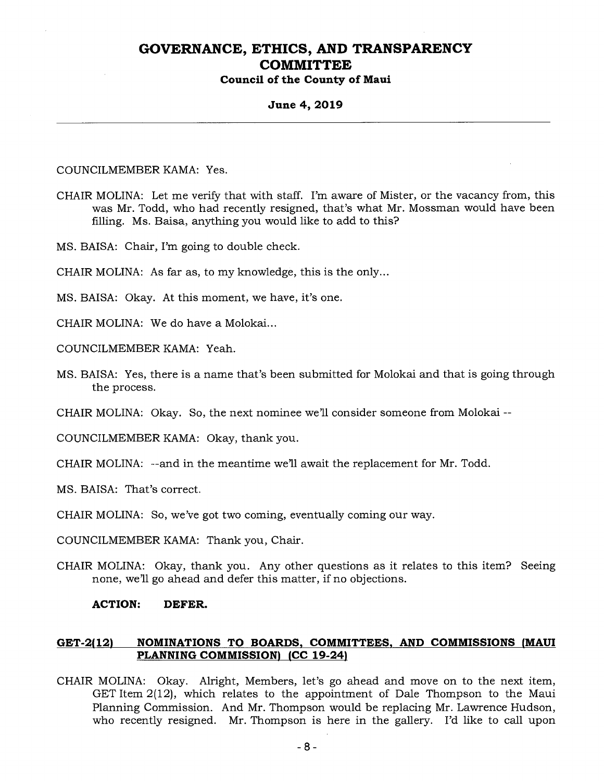# **June 4, 2019**

#### COUNCILMEMBER KAMA: Yes.

- CHAIR MOLINA: Let me verify that with staff. I'm aware of Mister, or the vacancy from, this was Mr. Todd, who had recently resigned, that's what Mr. Mossman would have been filling. Ms. Baisa, anything you would like to add to this?
- MS. BAISA: Chair, I'm going to double check.

CHAIR MOLINA: As far as, to my knowledge, this is the only...

- MS. BAISA: Okay. At this moment, we have, it's one.
- CHAIR MOLINA: We do have a Molokai...
- COUNCILMEMBER KAMA: Yeah.
- MS. BAISA: Yes, there is a name that's been submitted for Molokai and that is going through the process.

CHAIR MOLINA: Okay. So, the next nominee we'll consider someone from Molokai --

COUNCILMEMBER KAMA: Okay, thank you.

CHAIR MOLINA: --and in the meantime we'll await the replacement for Mr. Todd.

MS. BAISA: That's correct.

CHAIR MOLINA: So, we've got two coming, eventually coming our way.

COUNCILMEMBER KAMA: Thank you, Chair.

CHAIR MOLINA: Okay, thank you. Any other questions as it relates to this item? Seeing none, we'll go ahead and defer this matter, if no objections.

#### **ACTION: DEFER.**

#### **GET-2(12) NOMINATIONS TO BOARDS, COMMITTEES, AND COMMISSIONS (MAUI PLANNING COMMISSION) (CC 19-24)**

CHAIR MOLINA: Okay. Alright, Members, let's go ahead and move on to the next item, GET Item 2(12), which relates to the appointment of Dale Thompson to the Maui Planning Commission. And Mr. Thompson would be replacing Mr. Lawrence Hudson, who recently resigned. Mr. Thompson is here in the gallery. I'd like to call upon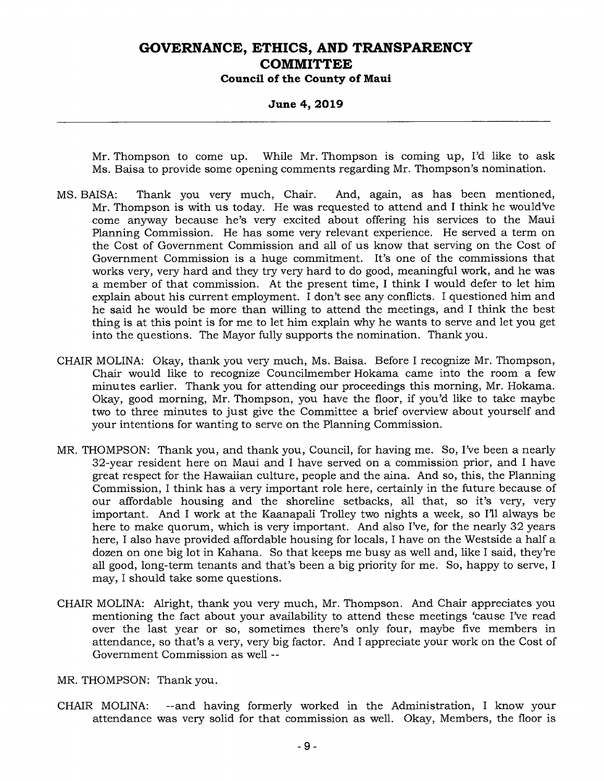**Council of the County of Maui** 

#### **June 4, 2019**

Mr. Thompson to come up. While Mr. Thompson is coming up, I'd like to ask Ms. Baisa to provide some opening comments regarding Mr. Thompson's nomination.

- MS. BAISA: Thank you very much, Chair. And, again, as has been mentioned, Mr. Thompson is with us today. He was requested to attend and I think he would've come anyway because he's very excited about offering his services to the Maui Planning Commission. He has some very relevant experience. He served a term on the Cost of Government Commission and all of us know that serving on the Cost of Government Commission is a huge commitment. It's one of the commissions that works very, very hard and they try very hard to do good, meaningful work, and he was a member of that commission. At the present time, I think I would defer to let him explain about his current employment. I don't see any conflicts. I questioned him and he said he would be more than willing to attend the meetings, and I think the best thing is at this point is for me to let him explain why he wants to serve and let you get into the questions. The Mayor fully supports the nomination. Thank you.
- CHAIR MOLINA: Okay, thank you very much, Ms. Baisa. Before I recognize Mr. Thompson, Chair would like to recognize Councilmember Hokama came into the room a few minutes earlier. Thank you for attending our proceedings this morning, Mr. Hokama. Okay, good morning, Mr. Thompson, you have the floor, if you'd like to take maybe two to three minutes to just give the Committee a brief overview about yourself and your intentions for wanting to serve on the Planning Commission.
- MR. THOMPSON: Thank you, and thank you, Council, for having me. So, I've been a nearly 32-year resident here on Maui and I have served on a commission prior, and I have great respect for the Hawaiian culture, people and the aina. And so, this, the Planning Commission, I think has a very important role here, certainly in the future because of our affordable housing and the shoreline setbacks, all that, so it's very, very important. And I work at the Kaanapali Trolley two nights a week, so I'll always be here to make quorum, which is very important. And also I've, for the nearly 32 years here, I also have provided affordable housing for locals, I have on the Westside a half a dozen on one big lot in Kahana. So that keeps me busy as well and, like I said, they're all good, long-term tenants and that's been a big priority for me. So, happy to serve, I may, I should take some questions.
- CHAIR MOLINA: Alright, thank you very much, Mr. Thompson. And Chair appreciates you mentioning the fact about your availability to attend these meetings 'cause I've read over the last year or so, sometimes there's only four, maybe five members in attendance, so that's a very, very big factor. And I appreciate your work on the Cost of Government Commission as well --

MR. THOMPSON: Thank you.

CHAIR MOLINA: --and having formerly worked in the Administration, I know your attendance was very solid for that commission as well. Okay, Members, the floor is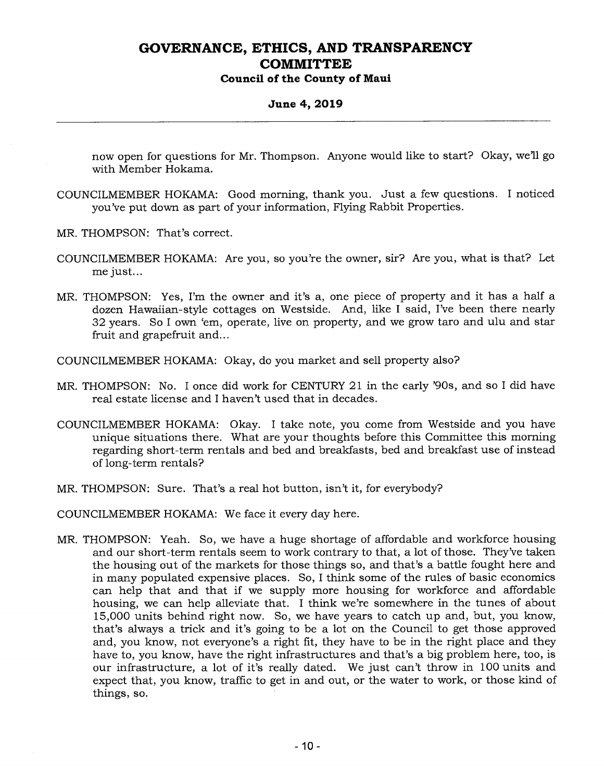#### **Council of the County of Maui**

#### **June 4, 2019**

now open for questions for Mr. Thompson. Anyone would like to start? Okay, we'll go with Member Hokama.

- COUNCILMEMBER HOKAMA: Good morning, thank you. Just a few questions. I noticed you've put down as part of your information, Flying Rabbit Properties.
- MR. THOMPSON: That's correct.
- COUNCILMEMBER HOKAMA: Are you, so you're the owner, sir? Are you, what is that? Let me just...
- MR. THOMPSON: Yes, I'm the owner and it's a, one piece of property and it has a half a dozen Hawaiian-style cottages on Westside. And, like I said, I've been there nearly 32 years. So I own 'em, operate, live on property, and we grow taro and ulu and star fruit and grapefruit and...

COUNCILMEMBER HOKAMA: Okay, do you market and sell property also?

- MR. THOMPSON: No. I once did work for CENTURY 21 in the early '90s, and so I did have real estate license and I haven't used that in decades.
- COUNCILMEMBER HOKAMA: Okay. I take note, you come from Westside and you have unique situations there. What are your thoughts before this Committee this morning regarding short-term rentals and bed and breakfasts, bed and breakfast use of instead of long-term rentals?
- MR. THOMPSON: Sure. That's a real hot button, isn't it, for everybody?

COUNCILMEMBER HOKAMA: We face it every day here.

MR. THOMPSON: Yeah. So, we have a huge shortage of affordable and workforce housing and our short-term rentals seem to work contrary to that, a lot of those. They've taken the housing out of the markets for those things so, and that's a battle fought here and in many populated expensive places. So, I think some of the rules of basic economics can help that and that if we supply more housing for workforce and affordable housing, we can help alleviate that. I think we're somewhere in the tunes of about 15,000 units behind right now. So, we have years to catch up and, but, you know, that's always a trick and it's going to be a lot on the Council to get those approved and, you know, not everyone's a right fit, they have to be in the right place and they have to, you know, have the right infrastructures and that's a big problem here, too, is our infrastructure, a lot of it's really dated. We just can't throw in 100 units and expect that, you know, traffic to get in and out, or the water to work, or those kind of things, so.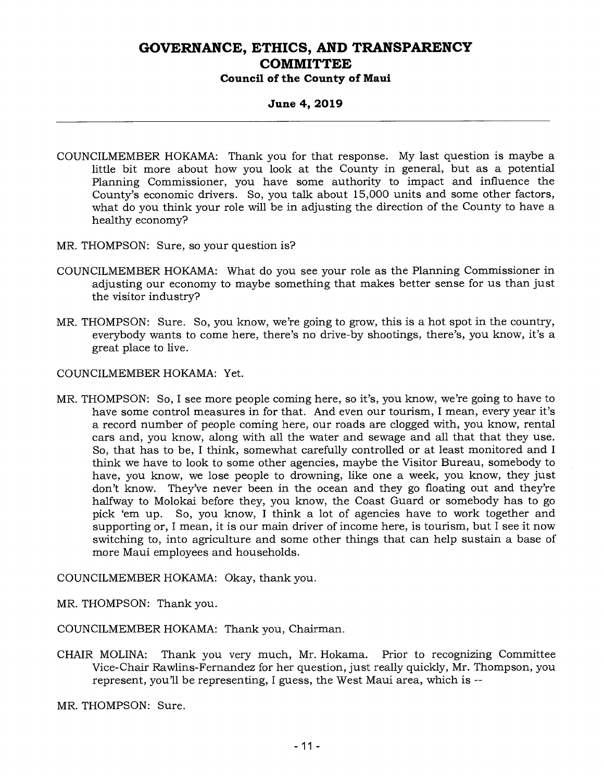**Council of the County of Maui** 

#### **June 4, 2019**

- COUNCILMEMBER HOKAMA: Thank you for that response. My last question is maybe a little bit more about how you look at the County in general, but as a potential Planning Commissioner, you have some authority to impact and influence the County's economic drivers. So, you talk about 15,000 units and some other factors, what do you think your role will be in adjusting the direction of the County to have a healthy economy?
- MR. THOMPSON: Sure, so your question is?
- COUNCILMEMBER HOKAMA: What do you see your role as the Planning Commissioner in adjusting our economy to maybe something that makes better sense for us than just the visitor industry?
- MR. THOMPSON: Sure. So, you know, we're going to grow, this is a hot spot in the country, everybody wants to come here, there's no drive-by shootings, there's, you know, it's a great place to live.

COUNCILMEMBER HOKAMA: Yet.

MR. THOMPSON: So, I see more people coming here, so it's, you know, we're going to have to have some control measures in for that. And even our tourism, I mean, every year it's a record number of people coming here, our roads are clogged with, you know, rental cars and, you know, along with all the water and sewage and all that that they use. So, that has to be, I think, somewhat carefully controlled or at least monitored and I think we have to look to some other agencies, maybe the Visitor Bureau, somebody to have, you know, we lose people to drowning, like one a week, you know, they just don't know. They've never been in the ocean and they go floating out and they're halfway to Molokai before they, you know, the Coast Guard or somebody has to go pick 'em up. So, you know, I think a lot of agencies have to work together and supporting or, I mean, it is our main driver of income here, is tourism, but I see it now switching to, into agriculture and some other things that can help sustain a base of more Maui employees and households.

COUNCILMEMBER HOKAMA: Okay, thank you.

MR. THOMPSON: Thank you.

COUNCILMEMBER HOKAMA: Thank you, Chairman.

CHAIR MOLINA: Thank you very much, Mr. Hokama. Prior to recognizing Committee Vice-Chair Rawlins-Fernandez for her question, just really quickly, Mr. Thompson, you represent, you'll be representing, I guess, the West Maui area, which is --

MR. THOMPSON: Sure.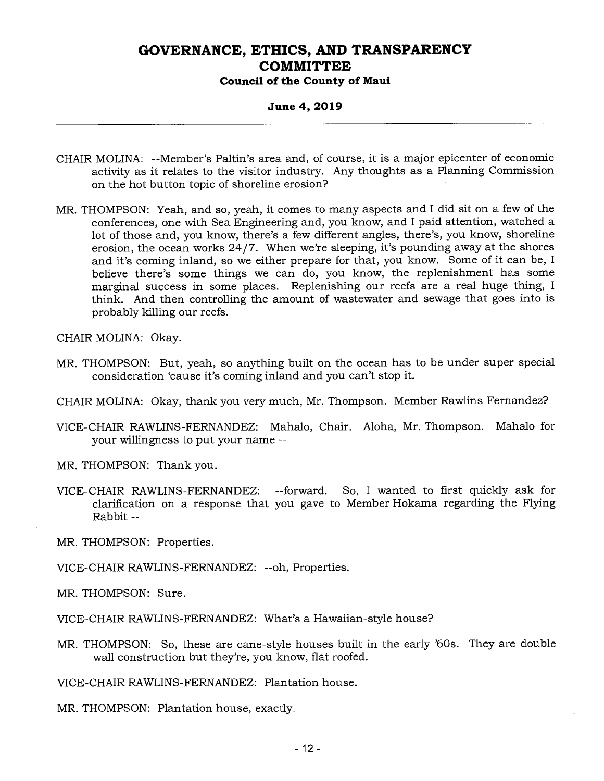#### **June 4, 2019**

- CHAIR MOLINA: --Member's Paltin's area and, of course, it is a major epicenter of economic activity as it relates to the visitor industry. Any thoughts as a Planning Commission on the hot button topic of shoreline erosion?
- MR. THOMPSON: Yeah, and so, yeah, it comes to many aspects and I did sit on a few of the conferences, one with Sea Engineering and, you know, and I paid attention, watched a lot of those and, you know, there's a few different angles, there's, you know, shoreline erosion, the ocean works 24/7. When we're sleeping, it's pounding away at the shores and it's coming inland, so we either prepare for that, you know. Some of it can be, I believe there's some things we can do, you know, the replenishment has some marginal success in some places. Replenishing our reefs are a real huge thing, I think. And then controlling the amount of wastewater and sewage that goes into is probably killing our reefs.

CHAIR MOLINA: Okay.

- MR. THOMPSON: But, yeah, so anything built on the ocean has to be under super special consideration 'cause it's coming inland and you can't stop it.
- CHAIR MOLINA: Okay, thank you very much, Mr. Thompson. Member Rawlins-Fernandez?
- VICE-CHAIR RAWLINS-FERNANDEZ: Mahalo, Chair. Aloha, Mr. Thompson. Mahalo for your willingness to put your name
- MR. THOMPSON: Thank you.
- VICE-CHAIR RAWLINS-FERNANDEZ: --forward. So, I wanted to first quickly ask for clarification on a response that you gave to Member Hokama regarding the Flying Rabbit --
- MR. THOMPSON: Properties.

VICE-CHAIR RAWLINS-FERNANDEZ: --oh, Properties.

MR. THOMPSON: Sure.

VICE-CHAIR RAWLINS-FERNANDEZ: What's a Hawaiian-style house?

MR. THOMPSON: So, these are cane-style houses built in the early '60s. They are double wall construction but they're, you know, flat roofed.

VICE-CHAIR RAWLINS-FERNANDEZ: Plantation house.

MR. THOMPSON: Plantation house, exactly.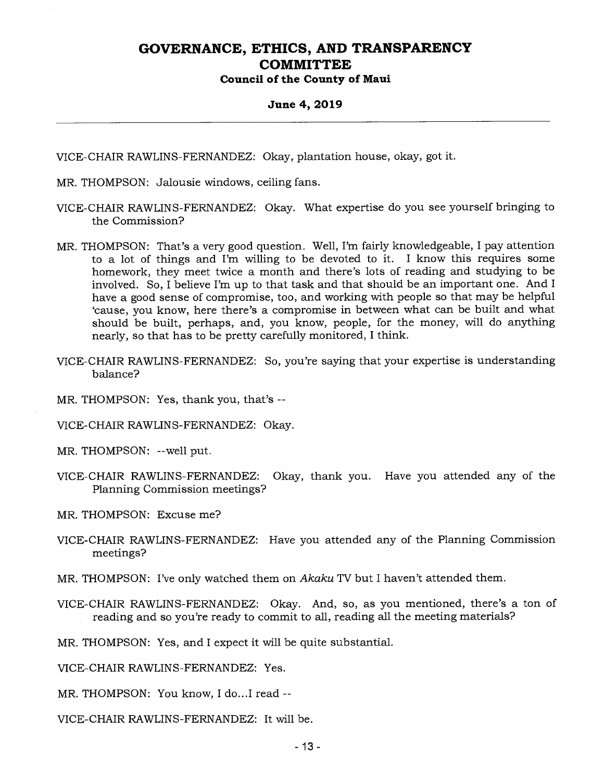**Council of the County of Maui** 

#### **June 4, 2019**

VICE-CHAIR RAWLINS-FERNANDEZ: Okay, plantation house, okay, got it.

- MR. THOMPSON: Jalousie windows, ceiling fans.
- VICE-CHAIR RAWLINS-FERNANDEZ: Okay. What expertise do you see yourself bringing to the Commission?
- MR. THOMPSON: That's a very good question. Well, I'm fairly knowledgeable, I pay attention to a lot of things and I'm willing to be devoted to it. I know this requires some homework, they meet twice a month and there's lots of reading and studying to be involved. So, I believe I'm up to that task and that should be an important one. And I have a good sense of compromise, too, and working with people so that may be helpful `cause, you know, here there's a compromise in between what can be built and what should be built, perhaps, and, you know, people, for the money, will do anything nearly, so that has to be pretty carefully monitored, I think.
- VICE-CHAIR RAWLINS-FERNANDEZ: So, you're saying that your expertise is understanding balance?
- MR. THOMPSON: Yes, thank you, that's --

VICE-CHAIR RAWLINS-FERNANDEZ: Okay.

MR. THOMPSON: --well put.

VICE-CHAIR RAWLINS-FERNANDEZ: Okay, thank you. Have you attended any of the Planning Commission meetings?

MR. THOMPSON: Excuse me?

- VICE-CHAIR RAWLINS-FERNANDEZ: Have you attended any of the Planning Commission meetings?
- MR. THOMPSON: I've only watched them on Akaku TV but I haven't attended them.
- VICE-CHAIR RAWLINS-FERNANDEZ: Okay. And, so, as you mentioned, there's a ton of reading and so you're ready to commit to all, reading all the meeting materials?

MR. THOMPSON: Yes, and I expect it will be quite substantial.

VICE-CHAIR RAWLINS-FERNANDEZ: Yes.

MR. THOMPSON: You know, I do...I read --

VICE-CHAIR RAWLINS-FERNANDEZ: It will be.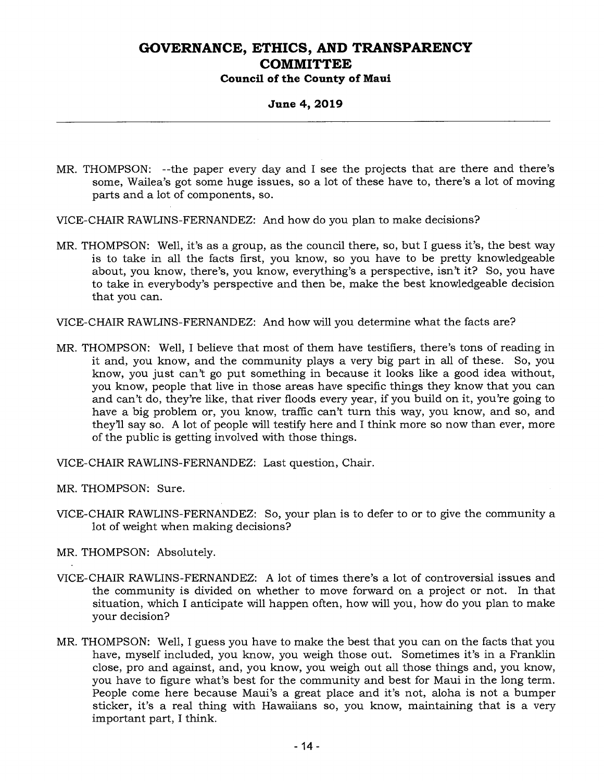### **Council of the County of Maui**

#### **June 4, 2019**

- MR. THOMPSON: --the paper every day and I see the projects that are there and there's some, Wailea's got some huge issues, so a lot of these have to, there's a lot of moving parts and a lot of components, so.
- VICE-CHAIR RAWLINS-FERNANDEZ: And how do you plan to make decisions?
- MR. THOMPSON: Well, it's as a group, as the council there, so, but I guess it's, the best way is to take in all the facts first, you know, so you have to be pretty knowledgeable about, you know, there's, you know, everything's a perspective, isn't it? So, you have to take in everybody's perspective and then be, make the best knowledgeable decision that you can.

VICE-CHAIR RAWLINS-FERNANDEZ: And how will you determine what the facts are?

MR. THOMPSON: Well, I believe that most of them have testifiers, there's tons of reading in it and, you know, and the community plays a very big part in all of these. So, you know, you just can't go put something in because it looks like a good idea without, you know, people that live in those areas have specific things they know that you can and can't do, they're like, that river floods every year, if you build on it, you're going to have a big problem or, you know, traffic can't turn this way, you know, and so, and they'll say so. A lot of people will testify here and I think more so now than ever, more of the public is getting involved with those things.

VICE-CHAIR RAWLINS-FERNANDEZ: Last question, Chair.

MR. THOMPSON: Sure.

VICE-CHAIR RAWLINS-FERNANDEZ: So, your plan is to defer to or to give the community a lot of weight when making decisions?

MR. THOMPSON: Absolutely.

- VICE-CHAIR RAWLINS-FERNANDEZ: A lot of times there's a lot of controversial issues and the community is divided on whether to move forward on a project or not. In that situation, which I anticipate will happen often, how will you, how do you plan to make your decision?
- MR. THOMPSON: Well, I guess you have to make the best that you can on the facts that you have, myself included, you know, you weigh those out. Sometimes it's in a Franklin close, pro and against, and, you know, you weigh out all those things and, you know, you have to figure what's best for the community and best for Maui in the long term. People come here because Maui's a great place and it's not, aloha is not a bumper sticker, it's a real thing with Hawaiians so, you know, maintaining that is a very important part, I think.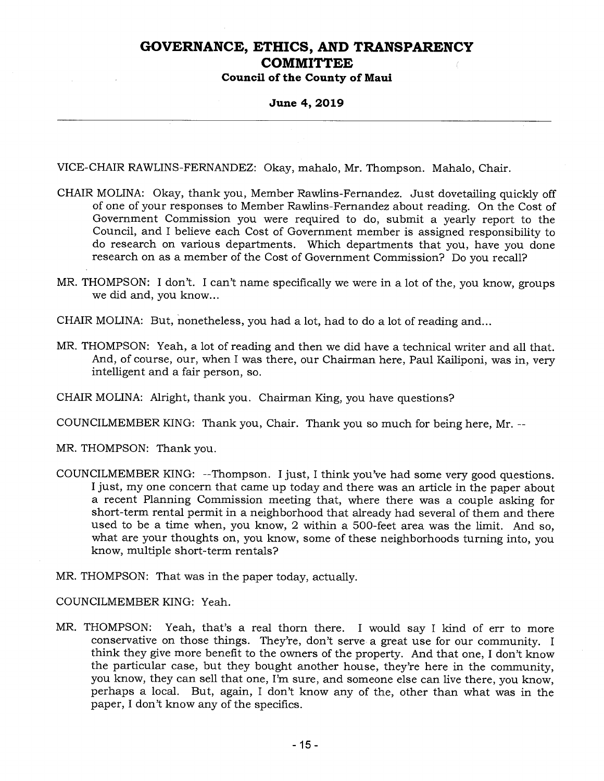#### **June 4, 2019**

VICE-CHAIR RAWLINS-FERNANDEZ: Okay, mahalo, Mr. Thompson. Mahalo, Chair.

- CHAIR MOLINA: Okay, thank you, Member Rawlins-Fernandez. Just dovetailing quickly off of one of your responses to Member Rawlins-Fernandez about reading. On the Cost of Government Commission you were required to do, submit a yearly report to the Council, and I believe each Cost of Government member is assigned responsibility to do research on various departments. Which departments that you, have you done research on as a member of the Cost of Government Commission? Do you recall?
- MR. THOMPSON: I don't. I can't name specifically we were in a lot of the, you know, groups we did and, you know...

CHAIR MOLINA: But, nonetheless, you had a lot, had to do a lot of reading and...

MR. THOMPSON: Yeah, a lot of reading and then we did have a technical writer and all that. And, of course, our, when I was there, our Chairman here, Paul Kailiponi, was in, very intelligent and a fair person, so.

CHAIR MOLINA: Alright, thank you. Chairman King, you have questions?

COUNCILMEMBER KING: Thank you, Chair. Thank you so much for being here, Mr. --

MR. THOMPSON: Thank you.

- COUNCILMEMBER KING: --Thompson. I just, I think you've had some very good questions. I just, my one concern that came up today and there was an article in the paper about a recent Planning Commission meeting that, where there was a couple asking for short-term rental permit in a neighborhood that already had several of them and there used to be a time when, you know, 2 within a 500-feet area was the limit. And so, what are your thoughts on, you know, some of these neighborhoods turning into, you know, multiple short-term rentals?
- MR. THOMPSON: That was in the paper today, actually.

COUNCILMEMBER KING: Yeah.

MR. THOMPSON: Yeah, that's a real thorn there. I would say I kind of err to more conservative on those things. They're, don't serve a great use for our community. I think they give more benefit to the owners of the property. And that one, I don't know the particular case, but they bought another house, they're here in the community, you know, they can sell that one, I'm sure, and someone else can live there, you know, perhaps a local. But, again, I don't know any of the, other than what was in the paper, I don't know any of the specifics.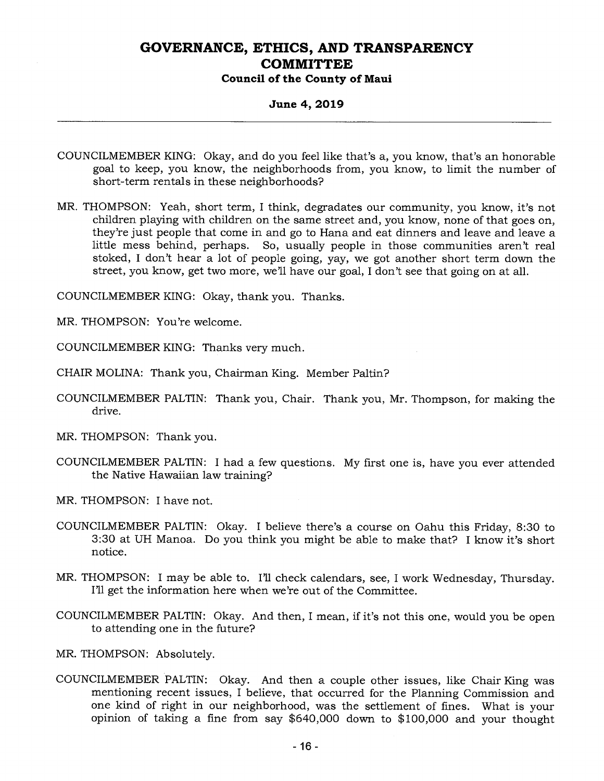### **Council of the County of Maui**

#### **June 4, 2019**

- COUNCILMEMBER KING: Okay, and do you feel like that's a, you know, that's an honorable goal to keep, you know, the neighborhoods from, you know, to limit the number of short-term rentals in these neighborhoods?
- MR. THOMPSON: Yeah, short term, I think, degradates our community, you know, it's not children playing with children on the same street and, you know, none of that goes on, they're just people that come in and go to Hana and eat dinners and leave and leave a little mess behind, perhaps. So, usually people in those communities aren't real stoked, I don't hear a lot of people going, yay, we got another short term down the street, you know, get two more, we'll have our goal, I don't see that going on at all.

COUNCILMEMBER KING: Okay, thank you. Thanks.

MR. THOMPSON: You're welcome.

COUNCILMEMBER KING: Thanks very much.

CHAIR MOLINA: Thank you, Chairman King. Member Paltin?

- COUNCILMEMBER PALTIN: Thank you, Chair. Thank you, Mr. Thompson, for making the drive.
- MR. THOMPSON: Thank you.
- COUNCILMEMBER PALTIN: I had a few questions. My first one is, have you ever attended the Native Hawaiian law training?
- MR. THOMPSON: I have not.
- COUNCILMEMBER PALTIN: Okay. I believe there's a course on Oahu this Friday, 8:30 to 3:30 at UH Manoa. Do you think you might be able to make that? I know it's short notice.
- MR. THOMPSON: I may be able to. I'll check calendars, see, I work Wednesday, Thursday. I'll get the information here when we're out of the Committee.
- COUNCILMEMBER PALTIN: Okay. And then, I mean, if it's not this one, would you be open to attending one in the future?

MR. THOMPSON: Absolutely.

COUNCILMEMBER PALTIN: Okay. And then a couple other issues, like Chair King was mentioning recent issues, I believe, that occurred for the Planning Commission and one kind of right in our neighborhood, was the settlement of fines. What is your opinion of taking a fine from say \$640,000 down to \$100,000 and your thought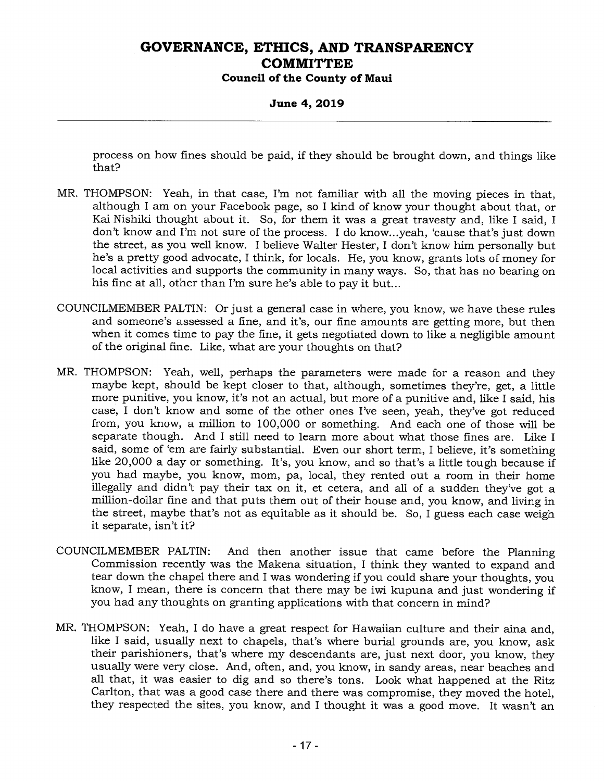**Council of the County of Maui** 

#### **June 4, 2019**

process on how fines should be paid, if they should be brought down, and things like that?

- MR. THOMPSON: Yeah, in that case, I'm not familiar with all the moving pieces in that, although I am on your Facebook page, so I kind of know your thought about that, or Kai Nishiki thought about it. So, for them it was a great travesty and, like I said, I don't know and I'm not sure of the process. I do know...yeah, 'cause that's just down the street, as you well know. I believe Walter Hester, I don't know him personally but he's a pretty good advocate, I think, for locals. He, you know, grants lots of money for local activities and supports the community in many ways. So, that has no bearing on his fine at all, other than I'm sure he's able to pay it but...
- COUNCILMEMBER PALTIN: Or just a general case in where, you know, we have these rules and someone's assessed a fine, and it's, our fine amounts are getting more, but then when it comes time to pay the fine, it gets negotiated down to like a negligible amount of the original fine. Like, what are your thoughts on that?
- MR. THOMPSON: Yeah, well, perhaps the parameters were made for a reason and they maybe kept, should be kept closer to that, although, sometimes they're, get, a little more punitive, you know, it's not an actual, but more of a punitive and, like I said, his case, I don't know and some of the other ones I've seen, yeah, they've got reduced from, you know, a million to 100,000 or something. And each one of those will be separate though. And I still need to learn more about what those fines are. Like I said, some of 'em are fairly substantial. Even our short term, I believe, it's something like 20,000 a day or something. It's, you know, and so that's a little tough because if you had maybe, you know, mom, pa, local, they rented out a room in their home illegally and didn't pay their tax on it, et cetera, and all of a sudden they've got a million-dollar fine and that puts them out of their house and, you know, and living in the street, maybe that's not as equitable as it should be. So, I guess each case weigh it separate, isn't it?
- COUNCILMEMBER PALTIN: And then another issue that came before the Planning Commission recently was the Makena situation, I think they wanted to expand and tear down the chapel there and I was wondering if you could share your thoughts, you know, I mean, there is concern that there may be iwi kupuna and just wondering if you had any thoughts on granting applications with that concern in mind?
- MR. THOMPSON: Yeah, I do have a great respect for Hawaiian culture and their aina and, like I said, usually next to chapels, that's where burial grounds are, you know, ask their parishioners, that's where my descendants are, just next door, you know, they usually were very close. And, often, and, you know, in sandy areas, near beaches and all that, it was easier to dig and so there's tons. Look what happened at the Ritz Carlton, that was a good case there and there was compromise, they moved the hotel, they respected the sites, you know, and I thought it was a good move. It wasn't an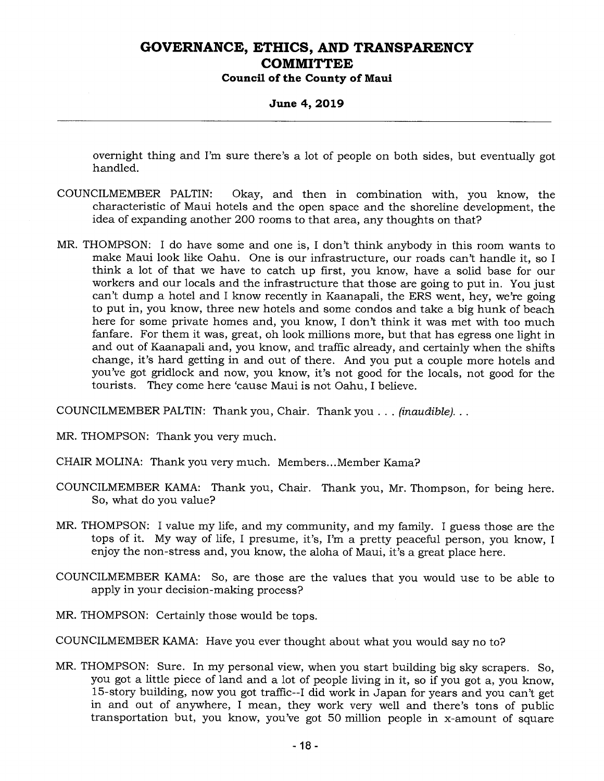**Council of the County of Maui** 

#### **June 4, 2019**

overnight thing and I'm sure there's a lot of people on both sides, but eventually got handled.

- COUNCILMEMBER PALTIN: Okay, and then in combination with, you know, the characteristic of Maui hotels and the open space and the shoreline development, the idea of expanding another 200 rooms to that area, any thoughts on that?
- MR. THOMPSON: I do have some and one is, I don't think anybody in this room wants to make Maui look like Oahu. One is our infrastructure, our roads can't handle it, so I think a lot of that we have to catch up first, you know, have a solid base for our workers and our locals and the infrastructure that those are going to put in. You just can't dump a hotel and I know recently in Kaanapali, the ERS went, hey, we're going to put in, you know, three new hotels and some condos and take a big hunk of beach here for some private homes and, you know, I don't think it was met with too much fanfare. For them it was, great, oh look millions more, but that has egress one light in and out of Kaanapali and, you know, and traffic already, and certainly when the shifts change, it's hard getting in and out of there. And you put a couple more hotels and you've got gridlock and now, you know, it's not good for the locals, not good for the tourists. They come here 'cause Maui is not Oahu, I believe.

COUNCILMEMBER PALTIN: Thank you, Chair. Thank you . . . *(inaudible).. .* 

MR. THOMPSON: Thank you very much.

CHAIR MOLINA: Thank you very much. Members...Member Kama?

- COUNCILMEMBER KAMA: Thank you, Chair. Thank you, Mr. Thompson, for being here. So, what do you value?
- MR. THOMPSON: I value my life, and my community, and my family. I guess those are the tops of it. My way of life, I presume, it's, I'm a pretty peaceful person, you know, I enjoy the non-stress and, you know, the aloha of Maui, it's a great place here.
- COUNCILMEMBER KAMA: So, are those are the values that you would use to be able to apply in your decision-making process?
- MR. THOMPSON: Certainly those would be tops.
- COUNCILMEMBER KAMA: Have you ever thought about what you would say no to?
- MR. THOMPSON: Sure. In my personal view, when you start building big sky scrapers. So, you got a little piece of land and a lot of people living in it, so if you got a, you know, 15-story building, now you got traffic--I did work in Japan for years and you can't get in and out of anywhere, I mean, they work very well and there's tons of public transportation but, you know, you've got 50 million people in x-amount of square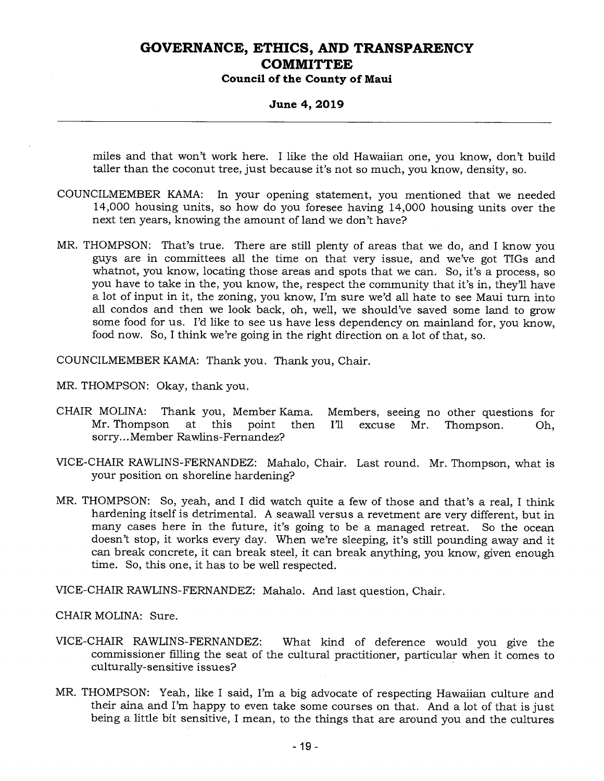**Council of the County of Maui** 

#### **June 4, 2019**

miles and that won't work here. I like the old Hawaiian one, you know, don't build taller than the coconut tree, just because it's not so much, you know, density, so.

- COUNCILMEMBER KAMA: In your opening statement, you mentioned that we needed 14,000 housing units, so how do you foresee having 14,000 housing units over the next ten years, knowing the amount of land we don't have?
- MR. THOMPSON: That's true. There are still plenty of areas that we do, and I know you guys are in committees all the time on that very issue, and we've got TIGs and whatnot, you know, locating those areas and spots that we can. So, it's a process, so you have to take in the, you know, the, respect the community that it's in, they'll have a lot of input in it, the zoning, you know, I'm sure we'd all hate to see Maui turn into all condos and then we look back, oh, well, we should've saved some land to grow some food for us. I'd like to see us have less dependency on mainland for, you know, food now. So, I think we're going in the right direction on a lot of that, so.

COUNCILMEMBER KAMA: Thank you. Thank you, Chair.

MR. THOMPSON: Okay, thank you.

- CHAIR MOLINA: Thank you, Member Kama. Members, seeing no other questions for Mr. Thompson at this point then I'll excuse Mr. Thompson. Oh, sorry... Member Rawlins-Fernandez?
- VICE-CHAIR RAWLINS-FERNANDEZ: Mahalo, Chair. Last round. Mr. Thompson, what is your position on shoreline hardening?
- MR. THOMPSON: So, yeah, and I did watch quite a few of those and that's a real, I think hardening itself is detrimental. A seawall versus a revetment are very different, but in many cases here in the future, it's going to be a managed retreat. So the ocean doesn't stop, it works every day. When we're sleeping, it's still pounding away and it can break concrete, it can break steel, it can break anything, you know, given enough time. So, this one, it has to be well respected.

VICE-CHAIR RAWLINS-FERNANDEZ: Mahalo. And last question, Chair.

CHAIR MOLINA: Sure.

- VICE-CHAIR RAWLINS-FERNANDEZ: What kind of deference would you give the commissioner filling the seat of the cultural practitioner, particular when it comes to culturally-sensitive issues?
- MR. THOMPSON: Yeah, like I said, I'm a big advocate of respecting Hawaiian culture and their aina and I'm happy to even take some courses on that. And a lot of that is just being a little bit sensitive, I mean, to the things that are around you and the cultures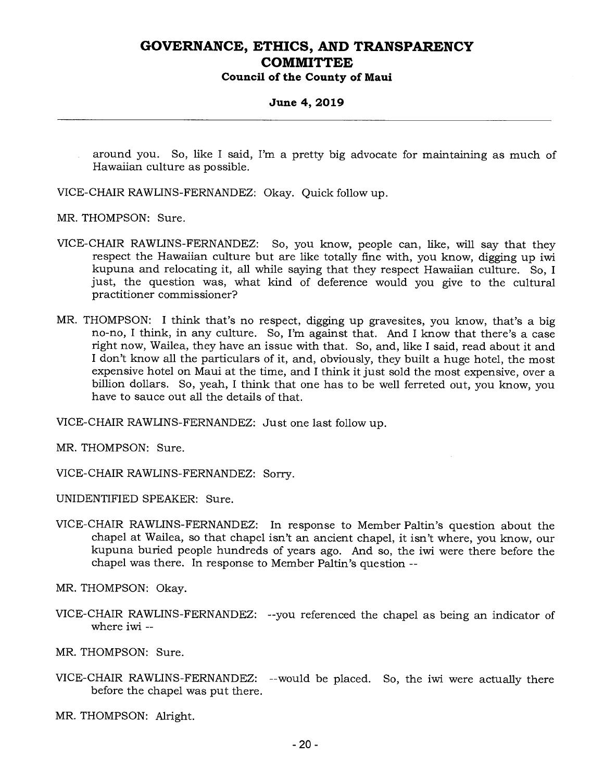#### **June 4, 2019**

around you. So, like I said, I'm a pretty big advocate for maintaining as much of Hawaiian culture as possible.

VICE-CHAIR RAWLINS-FERNANDEZ: Okay. Quick follow up.

MR. THOMPSON: Sure.

- VICE-CHAIR RAWLINS-FERNANDEZ: So, you know, people can, like, will say that they respect the Hawaiian culture but are like totally fine with, you know, digging up iwi kupuna and relocating it, all while saying that they respect Hawaiian culture. So, I just, the question was, what kind of deference would you give to the cultural practitioner commissioner?
- MR. THOMPSON: I think that's no respect, digging up gravesites, you know, that's a big no-no, I think, in any culture. So, I'm against that. And I know that there's a case right now, Wailea, they have an issue with that. So, and, like I said, read about it and I don't know all the particulars of it, and, obviously, they built a huge hotel, the most expensive hotel on Maui at the time, and I think it just sold the most expensive, over a billion dollars. So, yeah, I think that one has to be well ferreted out, you know, you have to sauce out all the details of that.

VICE-CHAIR RAWLINS-FERNANDEZ: Just one last follow up.

MR. THOMPSON: Sure.

VICE-CHAIR RAWLINS-FERNANDEZ: Sorry.

UNIDENTIFIED SPEAKER: Sure.

VICE-CHAIR RAWLINS-FERNANDEZ: In response to Member Paltin's question about the chapel at Wailea, so that chapel isn't an ancient chapel, it isn't where, you know, our kupuna buried people hundreds of years ago. And so, the iwi were there before the chapel was there. In response to Member Paltin's question --

MR. THOMPSON: Okay.

VICE-CHAIR RAWLINS-FERNANDEZ: --you referenced the chapel as being an indicator of where iwi --

MR. THOMPSON: Sure.

VICE-CHAIR RAWLINS-FERNANDEZ: --would be placed. So, the iwi were actually there before the chapel was put there.

MR. THOMPSON: Alright.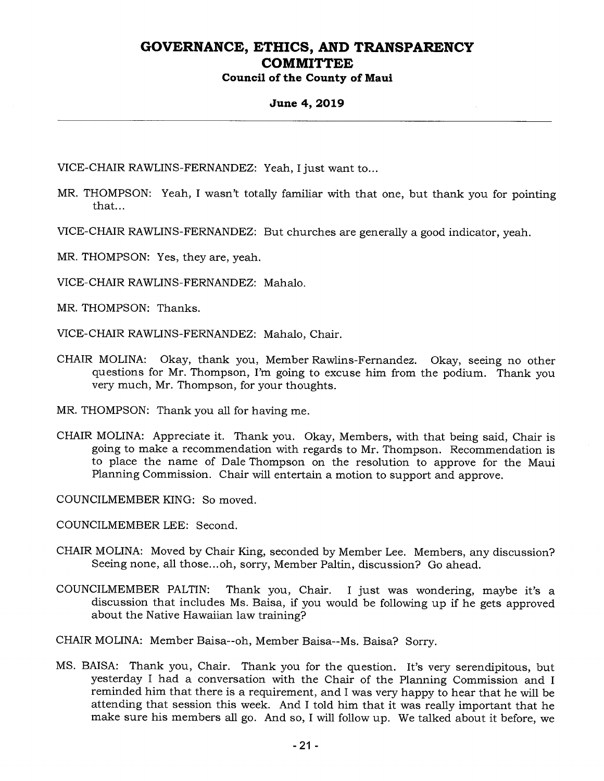#### **June 4, 2019**

VICE-CHAIR RAWLINS-FERNANDEZ: Yeah, I just want to...

- MR. THOMPSON: Yeah, I wasn't totally familiar with that one, but thank you for pointing that...
- VICE-CHAIR RAWLINS-FERNANDEZ: But churches are generally a good indicator, yeah.
- MR. THOMPSON: Yes, they are, yeah.

VICE-CHAIR RAWLINS-FERNANDEZ: Mahalo.

MR. THOMPSON: Thanks.

VICE-CHAIR RAWLINS-FERNANDEZ: Mahalo, Chair.

CHAIR MOLINA: Okay, thank you, Member Rawlins-Fernandez. Okay, seeing no other questions for Mr. Thompson, I'm going to excuse him from the podium. Thank you very much, Mr. Thompson, for your thoughts.

MR. THOMPSON: Thank you all for having me.

CHAIR MOLINA: Appreciate it. Thank you. Okay, Members, with that being said, Chair is going to make a recommendation with regards to Mr. Thompson. Recommendation is to place the name of Dale Thompson on the resolution to approve for the Maui Planning Commission. Chair will entertain a motion to support and approve.

COUNCILMEMBER KING: So moved.

COUNCILMEMBER LEE: Second.

- CHAIR MOLINA: Moved by Chair King, seconded by Member Lee. Members, any discussion? Seeing none, all those...oh, sorry, Member Paltin, discussion? Go ahead.
- COUNCILMEMBER PALTIN: Thank you, Chair. I just was wondering, maybe it's a discussion that includes Ms. Baisa, if you would be following up if he gets approved about the Native Hawaiian law training?

CHAIR MOLINA: Member Balsa--oh, Member Balsa--Ms. Balsa? Sorry.

MS. BAISA: Thank you, Chair. Thank you for the question. It's very serendipitous, but yesterday I had a conversation with the Chair of the Planning Commission and I reminded him that there is a requirement, and I was very happy to hear that he will be attending that session this week. And I told him that it was really important that he make sure his members all go. And so, I will follow up. We talked about it before, we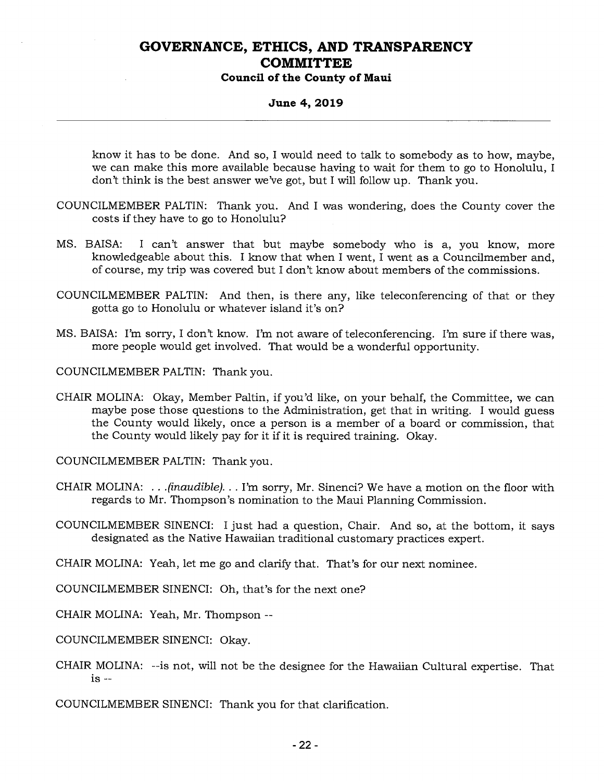### **Council of the County of Maui**

#### **June 4, 2019**

know it has to be done. And so, I would need to talk to somebody as to how, maybe, we can make this more available because having to wait for them to go to Honolulu, I don't think is the best answer we've got, but I will follow up. Thank you.

- COUNCILMEMBER PALTIN: Thank you. And I was wondering, does the County cover the costs if they have to go to Honolulu?
- MS. BAISA: I can't answer that but maybe somebody who is a, you know, more knowledgeable about this. I know that when I went, I went as a Councilmember and, of course, my trip was covered but I don't know about members of the commissions.
- COUNCILMEMBER PALTIN: And then, is there any, like teleconferencing of that or they gotta go to Honolulu or whatever island it's on?
- MS. BAISA: I'm sorry, I don't know. I'm not aware of teleconferencing. I'm sure if there was, more people would get involved. That would be a wonderful opportunity.

COUNCILMEMBER PALTIN: Thank you.

CHAIR MOLINA: Okay, Member Paltin, if you'd like, on your behalf, the Committee, we can maybe pose those questions to the Administration, get that in writing. I would guess the County would likely, once a person is a member of a board or commission, that the County would likely pay for it if it is required training. Okay.

COUNCILMEMBER PALTIN: Thank you.

- CHAIR MOLINA: . . *.(inaudible). . .* I'm sorry, Mr. Sinenci? We have a motion on the floor with regards to Mr. Thompson's nomination to the Maui Planning Commission.
- COUNCILMEMBER SINENCI: I just had a question, Chair. And so, at the bottom, it says designated as the Native Hawaiian traditional customary practices expert.

CHAIR MOLINA: Yeah, let me go and clarify that. That's for our next nominee.

- COUNCILMEMBER SINENCI: Oh, that's for the next one?
- CHAIR MOLINA: Yeah, Mr. Thompson --

COUNCILMEMBER SINENCI: Okay.

CHAIR MOLINA: --is not, will not be the designee for the Hawaiian Cultural expertise. That is --

COUNCILMEMBER SINENCI: Thank you for that clarification.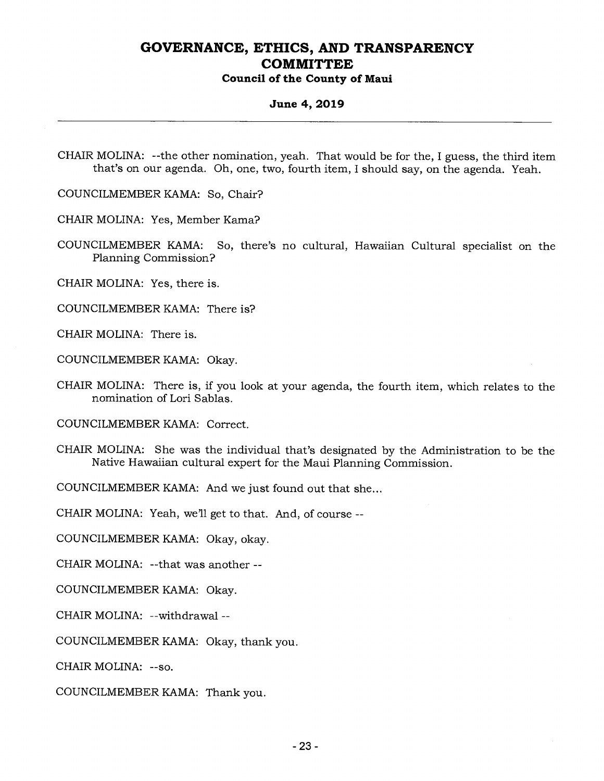**Council of the County of Maui** 

#### **June 4, 2019**

CHAIR MOLINA: --the other nomination, yeah. That would be for the, I guess, the third item that's on our agenda. Oh, one, two, fourth item, I should say, on the agenda. Yeah.

COUNCILMEMBER KAMA: So, Chair?

CHAIR MOLINA: Yes, Member Kama?

COUNCILMEMBER KAMA: So, there's no cultural, Hawaiian Cultural specialist on the Planning Commission?

CHAIR MOLINA: Yes, there is.

COUNCILMEMBER KAMA: There is?

CHAIR MOLINA: There is.

COUNCILMEMBER KAMA: Okay.

CHAIR MOLINA: There is, if you look at your agenda, the fourth item, which relates to the nomination of Lori Sablas.

COUNCILMEMBER KAMA: Correct.

CHAIR MOLINA: She was the individual that's designated by the Administration to be the Native Hawaiian cultural expert for the Maui Planning Commission.

COUNCILMEMBER KAMA: And we just found out that she...

CHAIR MOLINA: Yeah, we'll get to that. And, of course --

COUNCILMEMBER KAMA: Okay, okay.

CHAIR MOLINA: --that was another --

COUNCILMEMBER KAMA: Okay.

CHAIR MOLINA: --withdrawal --

COUNCILMEMBER KAMA: Okay, thank you.

CHAIR MOLINA: --so.

COUNCILMEMBER KAMA: Thank you.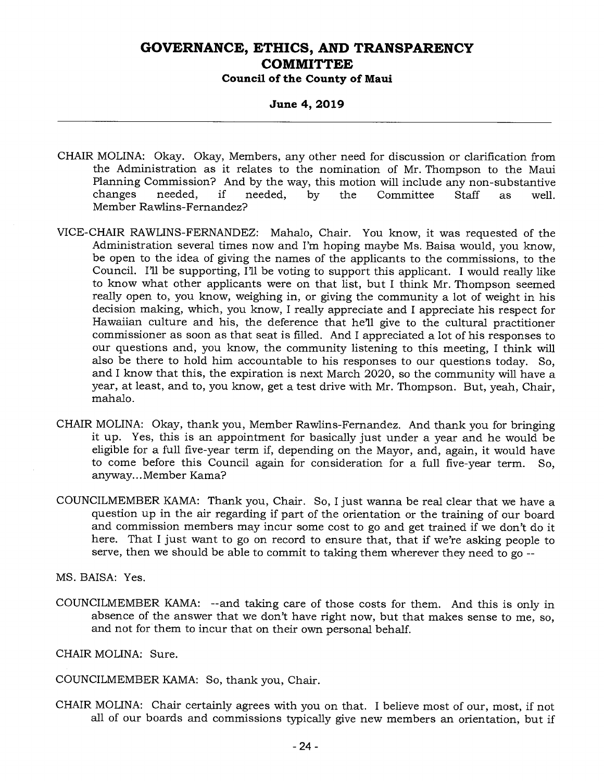### **June 4, 2019**

- CHAIR MOLINA: Okay. Okay, Members, any other need for discussion or clarification from the Administration as it relates to the nomination of Mr. Thompson to the Maui Planning Commission? And by the way, this motion will include any non-substantive changes needed, if needed, by the Committee Staff as well. Member Rawlins-Fernandez?
- VICE-CHAIR RAWLINS-FERNANDEZ: Mahalo, Chair. You know, it was requested of the Administration several times now and I'm hoping maybe Ms. Baisa would, you know, be open to the idea of giving the names of the applicants to the commissions, to the Council. I'll be supporting, I'll be voting to support this applicant. I would really like to know what other applicants were on that list, but I think Mr. Thompson seemed really open to, you know, weighing in, or giving the community a lot of weight in his decision making, which, you know, I really appreciate and I appreciate his respect for Hawaiian culture and his, the deference that he'll give to the cultural practitioner commissioner as soon as that seat is filled. And I appreciated a lot of his responses to our questions and, you know, the community listening to this meeting, I think will also be there to hold him accountable to his responses to our questions today. So, and I know that this, the expiration is next March 2020, so the community will have a year, at least, and to, you know, get a test drive with Mr. Thompson. But, yeah, Chair, mahalo.
- CHAIR MOLINA: Okay, thank you, Member Rawlins-Fernandez. And thank you for bringing it up. Yes, this is an appointment for basically just under a year and he would be eligible for a full five-year term if, depending on the Mayor, and, again, it would have to come before this Council again for consideration for a full five-year term. So, anyway... Member Kama?
- COUNCILMEMBER KAMA: Thank you, Chair. So, I just wanna be real clear that we have a question up in the air regarding if part of the orientation or the training of our board and commission members may incur some cost to go and get trained if we don't do it here. That I just want to go on record to ensure that, that if we're asking people to serve, then we should be able to commit to taking them wherever they need to go --

MS. BAISA: Yes.

COUNCILMEMBER KAMA: --and taking care of those costs for them. And this is only in absence of the answer that we don't have right now, but that makes sense to me, so, and not for them to incur that on their own personal behalf.

CHAIR MOLINA: Sure.

COUNCILMEMBER KAMA: So, thank you, Chair.

CHAIR MOLINA: Chair certainly agrees with you on that. I believe most of our, most, if not all of our boards and commissions typically give new members an orientation, but if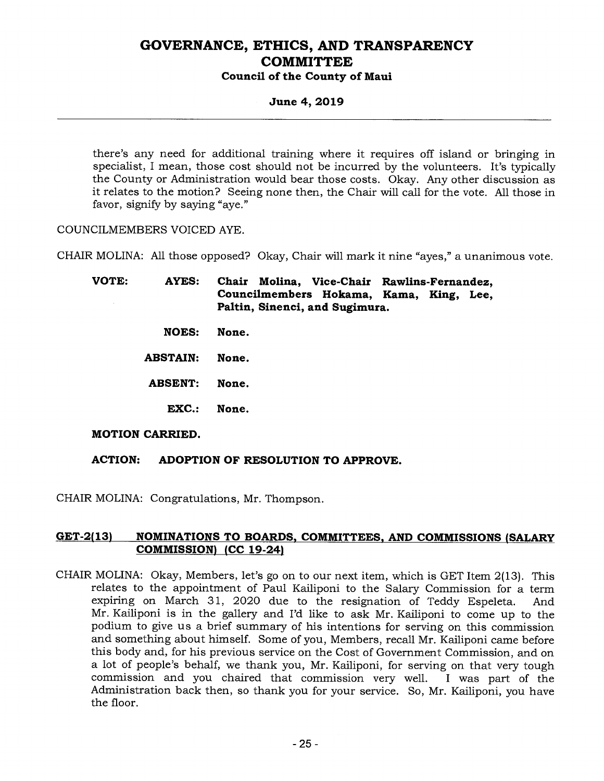### **June 4, 2019**

there's any need for additional training where it requires off island or bringing in specialist, I mean, those cost should not be incurred by the volunteers. It's typically the County or Administration would bear those costs. Okay. Any other discussion as it relates to the motion? Seeing none then, the Chair will call for the vote. All those in favor, signify by saying "aye."

COUNCILMEMBERS VOICED AYE.

CHAIR MOLINA: All those opposed? Okay, Chair will mark it nine "ayes," a unanimous vote.

**VOTE: AYES: Chair Molina, Vice-Chair Rawlins-Fernandez, Councilmembers Hokama, Kama, King, Lee, Paltin, Sinenci, and Sugimura.** 

- **NOES: None.**
- **ABSTAIN: None.**
- **ABSENT: None.** 
	- **EXC.: None.**

#### **MOTION CARRIED.**

#### **ACTION: ADOPTION OF RESOLUTION TO APPROVE.**

CHAIR MOLINA: Congratulations, Mr. Thompson.

#### **GET-2(13) NOMINATIONS TO BOARDS, COMMITTEES, AND COMMISSIONS (SALARY COMMISSION) (CC 19-24)**

CHAIR MOLINA: Okay, Members, let's go on to our next item, which is GET Item 2(13). This relates to the appointment of Paul Kailiponi to the Salary Commission for a term expiring on March 31, 2020 due to the resignation of Teddy Espeleta. And Mr. Kailiponi is in the gallery and I'd like to ask Mr. Kailiponi to come up to the podium to give us a brief summary of his intentions for serving on this commission and something about himself. Some of you, Members, recall Mr. Kailiponi came before this body and, for his previous service on the Cost of Government Commission, and on a lot of people's behalf, we thank you, Mr. Kailiponi, for serving on that very tough commission and you chaired that commission very well. I was part of the Administration back then, so thank you for your service. So, Mr. Kailiponi, you have the floor.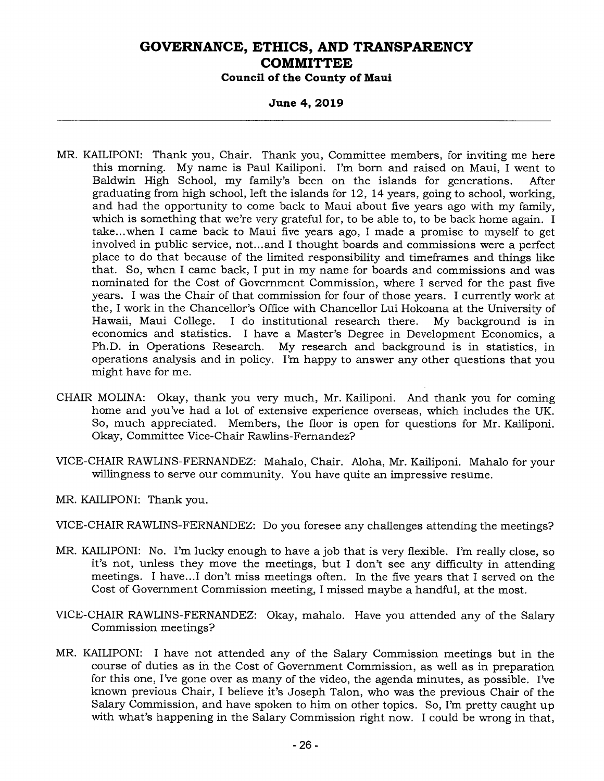**June 4, 2019** 

- MR. KAILIPONI: Thank you, Chair. Thank you, Committee members, for inviting me here this morning. My name is Paul Kailiponi. I'm born and raised on Maui, I went to Baldwin High School, my family's been on the islands for generations. After graduating from high school, left the islands for 12, 14 years, going to school, working, and had the opportunity to come back to Maui about five years ago with my family, which is something that we're very grateful for, to be able to, to be back home again. I take...when I came back to Maui five years ago, I made a promise to myself to get involved in public service, not...and I thought boards and commissions were a perfect place to do that because of the limited responsibility and timeframes and things like that. So, when I came back, I put in my name for boards and commissions and was nominated for the Cost of Government Commission, where I served for the past five years. I was the Chair of that commission for four of those years. I currently work at the, I work in the Chancellor's Office with Chancellor Lui Hokoana at the University of Hawaii, Maui College. I do institutional research there. My background is in economics and statistics. I have a Master's Degree in Development Economics, a Ph.D. in Operations Research. My research and background is in statistics, in operations analysis and in policy. I'm happy to answer any other questions that you might have for me.
- CHAIR MOLINA: Okay, thank you very much, Mr. Kailiponi. And thank you for coming home and you've had a lot of extensive experience overseas, which includes the UK. So, much appreciated. Members, the floor is open for questions for Mr. Kailiponi. Okay, Committee Vice-Chair Rawlins-Fernandez?
- VICE-CHAIR RAWLINS-FERNANDEZ: Mahalo, Chair. Aloha, Mr. Kailiponi. Mahalo for your willingness to serve our community. You have quite an impressive resume.
- MR. KAILIPONI: Thank you.
- VICE-CHAIR RAWLINS-FERNANDEZ: Do you foresee any challenges attending the meetings?
- MR. KAILIPONI: No. I'm lucky enough to have a job that is very flexible. I'm really close, so it's not, unless they move the meetings, but I don't see any difficulty in attending meetings. I have...I don't miss meetings often. In the five years that I served on the Cost of Government Commission meeting, I missed maybe a handful, at the most.
- VICE-CHAIR RAWLINS-FERNANDEZ: Okay, mahalo. Have you attended any of the Salary Commission meetings?
- MR. KAILIPONI: I have not attended any of the Salary Commission meetings but in the course of duties as in the Cost of Government Commission, as well as in preparation for this one, I've gone over as many of the video, the agenda minutes, as possible. I've known previous Chair, I believe it's Joseph Talon, who was the previous Chair of the Salary Commission, and have spoken to him on other topics. So, I'm pretty caught up with what's happening in the Salary Commission right now. I could be wrong in that,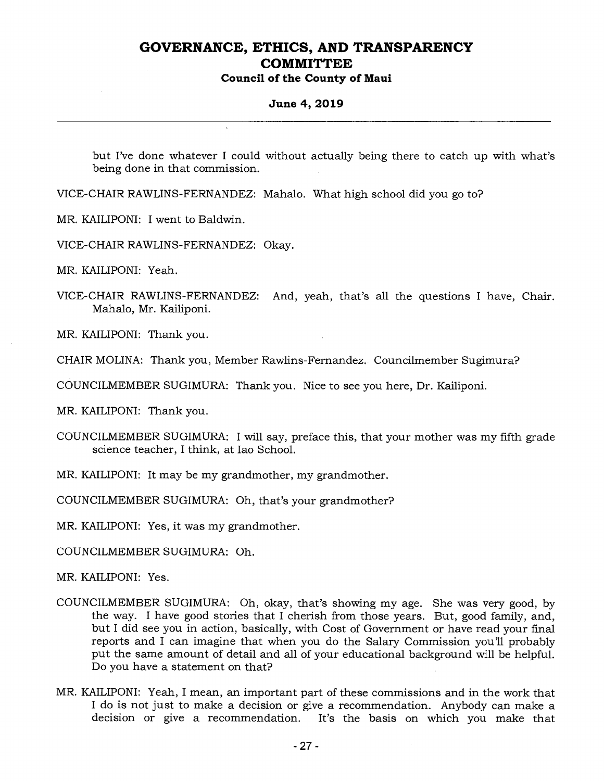**Council of the County of Maui** 

#### **June 4, 2019**

but I've done whatever I could without actually being there to catch up with what's being done in that commission.

VICE-CHAIR RAWLINS-FERNANDEZ: Mahalo. What high school did you go to?

MR. KAILIPONI: I went to Baldwin.

VICE-CHAIR RAWLINS-FERNANDEZ: Okay.

MR. KAILIPONI: Yeah.

VICE-CHAIR RAWLINS-FERNANDEZ: And, yeah, that's all the questions I have, Chair. Mahalo, Mr. Kailiponi.

MR. KAILIPONI: Thank you.

CHAIR MOLINA: Thank you, Member Rawlins-Fernandez. Councilmember Sugimura?

COUNCILMEMBER SUGIMURA: Thank you. Nice to see you here, Dr. Kailiponi.

MR. KAILIPONI: Thank you.

COUNCILMEMBER SUGIMURA: I will say, preface this, that your mother was my fifth grade science teacher, I think, at Iao School.

MR. KAILIPONI: It may be my grandmother, my grandmother.

COUNCILMEMBER SUGIMURA: Oh, that's your grandmother?

MR. KAILIPONI: Yes, it was my grandmother.

COUNCILMEMBER SUGIMURA: Oh.

MR. KAILIPONI: Yes.

- COUNCILMEMBER SUGIMURA: Oh, okay, that's showing my age. She was very good, by the way. I have good stories that I cherish from those years. But, good family, and, but I did see you in action, basically, with Cost of Government or have read your final reports and I can imagine that when you do the Salary Commission you'll probably put the same amount of detail and all of your educational background will be helpful. Do you have a statement on that?
- MR. KAILIPONI: Yeah, I mean, an important part of these commissions and in the work that I do is not just to make a decision or give a recommendation. Anybody can make a decision or give a recommendation. It's the basis on which you make that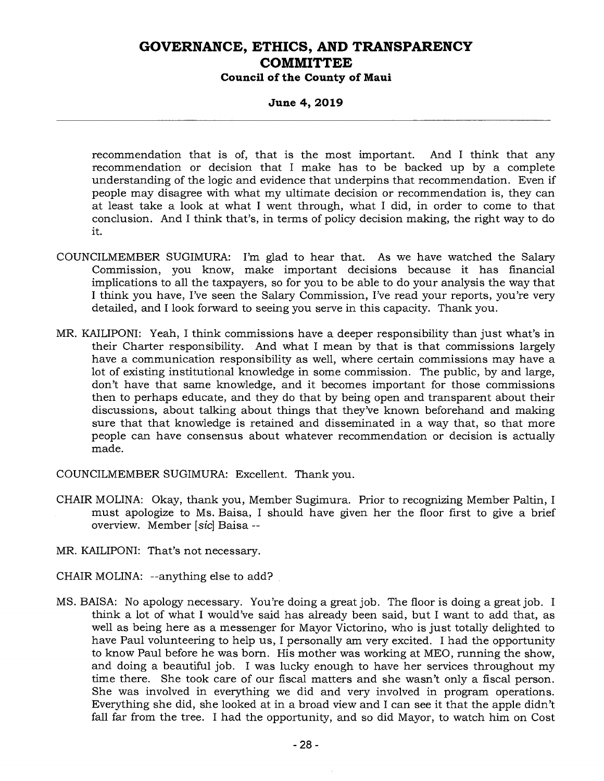**June 4, 2019** 

recommendation that is of, that is the most important. And I think that any recommendation or decision that I make has to be backed up by a complete understanding of the logic and evidence that underpins that recommendation. Even if people may disagree with what my ultimate decision or recommendation is, they can at least take a look at what I went through, what I did, in order to come to that conclusion. And I think that's, in terms of policy decision making, the right way to do it.

- COUNCILMEMBER SUGIMURA: I'm glad to hear that. As we have watched the Salary Commission, you know, make important decisions because it has financial implications to all the taxpayers, so for you to be able to do your analysis the way that I think you have, I've seen the Salary Commission, I've read your reports, you're very detailed, and I look forward to seeing you serve in this capacity. Thank you.
- MR. KAILIPONI: Yeah, I think commissions have a deeper responsibility than just what's in their Charter responsibility. And what I mean by that is that commissions largely have a communication responsibility as well, where certain commissions may have a lot of existing institutional knowledge in some commission. The public, by and large, don't have that same knowledge, and it becomes important for those commissions then to perhaps educate, and they do that by being open and transparent about their discussions, about talking about things that they've known beforehand and making sure that that knowledge is retained and disseminated in a way that, so that more people can have consensus about whatever recommendation or decision is actually made.

COUNCILMEMBER SUGIMURA: Excellent. Thank you.

CHAIR MOLINA: Okay, thank you, Member Sugimura. Prior to recognizing Member Paltin, I must apologize to Ms. Baisa, I should have given her the floor first to give a brief overview. Member *[sic]* Baisa

MR. KAILIPONI: That's not necessary.

CHAIR MOLINA: --anything else to add?

MS. BAISA: No apology necessary. You're doing a great job. The floor is doing a great job. I think a lot of what I would've said has already been said, but I want to add that, as well as being here as a messenger for Mayor Victorino, who is just totally delighted to have Paul volunteering to help us, I personally am very excited. I had the opportunity to know Paul before he was born. His mother was working at MEO, running the show, and doing a beautiful job. I was lucky enough to have her services throughout my time there. She took care of our fiscal matters and she wasn't only a fiscal person. She was involved in everything we did and very involved in program operations. Everything she did, she looked at in a broad view and I can see it that the apple didn't fall far from the tree. I had the opportunity, and so did Mayor, to watch him on Cost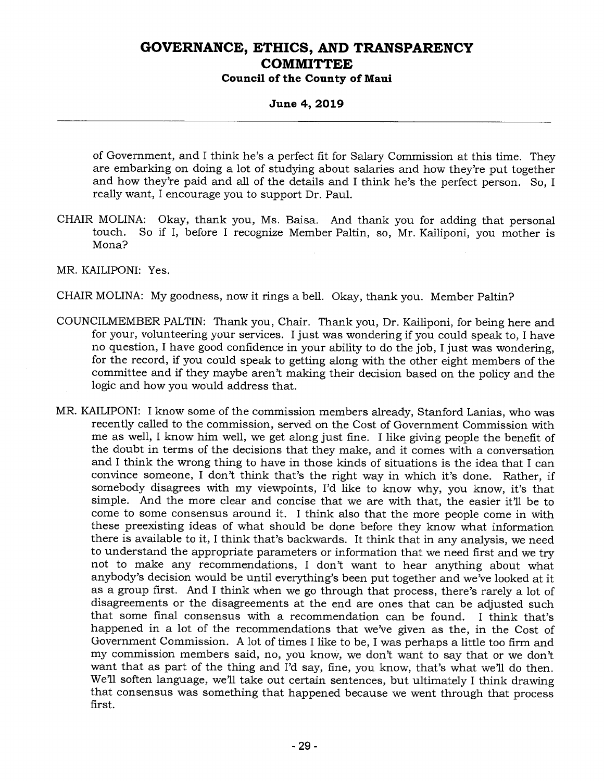#### **Council of the County of Maui**

#### **June 4, 2019**

of Government, and I think he's a perfect fit for Salary Commission at this time. They are embarking on doing a lot of studying about salaries and how they're put together and how they're paid and all of the details and I think he's the perfect person. So, I really want, I encourage you to support Dr. Paul.

CHAIR MOLINA: Okay, thank you, Ms. Baisa. And thank you for adding that personal touch. So if I, before I recognize Member Paltin, so, Mr. Kailiponi, you mother is Mona?

MR. KAILIPONI: Yes.

- CHAIR MOLINA: My goodness, now it rings a bell. Okay, thank you. Member Paltin?
- COUNCILMEMBER PALTIN: Thank you, Chair. Thank you, Dr. Kailiponi, for being here and for your, volunteering your services. I just was wondering if you could speak to, I have no question, I have good confidence in your ability to do the job, I just was wondering, for the record, if you could speak to getting along with the other eight members of the committee and if they maybe aren't making their decision based on the policy and the logic and how you would address that.
- MR. KAILIPONI: I know some of the commission members already, Stanford Lanias, who was recently called to the commission, served on the Cost of Government Commission with me as well, I know him well, we get along just fine. I like giving people the benefit of the doubt in terms of the decisions that they make, and it comes with a conversation and I think the wrong thing to have in those kinds of situations is the idea that I can convince someone, I don't think that's the right way in which it's done. Rather, if somebody disagrees with my viewpoints, I'd like to know why, you know, it's that simple. And the more clear and concise that we are with that, the easier it'll be to come to some consensus around it. I think also that the more people come in with these preexisting ideas of what should be done before they know what information there is available to it, I think that's backwards. It think that in any analysis, we need to understand the appropriate parameters or information that we need first and we try not to make any recommendations, I don't want to hear anything about what anybody's decision would be until everything's been put together and we've looked at it as a group first. And I think when we go through that process, there's rarely a lot of disagreements or the disagreements at the end are ones that can be adjusted such that some final consensus with a recommendation can be found. I think that's happened in a lot of the recommendations that we've given as the, in the Cost of Government Commission. A lot of times I like to be, I was perhaps a little too firm and my commission members said, no, you know, we don't want to say that or we don't want that as part of the thing and I'd say, fine, you know, that's what we'll do then. We'll soften language, we'll take out certain sentences, but ultimately I think drawing that consensus was something that happened because we went through that process first.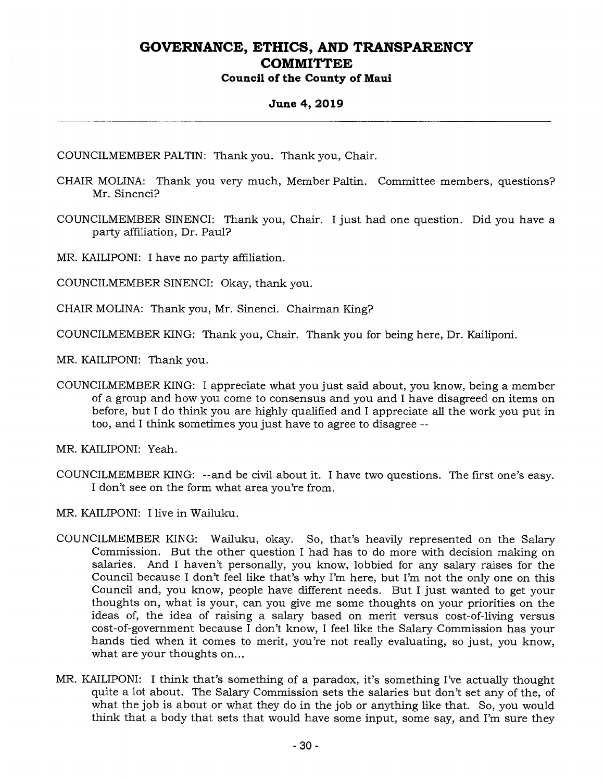**Council of the County of Maui** 

#### **June 4, 2019**

COUNCILMEMBER PALTIN: Thank you. Thank you, Chair.

- CHAIR MOLINA: Thank you very much, Member Paltin. Committee members, questions? Mr. Sinenci?
- COUNCILMEMBER SINENCI: Thank you, Chair. I just had one question. Did you have a party affiliation, Dr. Paul?

MR. KAILIPONI: I have no party affiliation.

COUNCILMEMBER SINENCI: Okay, thank you.

CHAIR MOLINA: Thank you, Mr. Sinenci. Chairman King?

COUNCILMEMBER KING: Thank you, Chair. Thank you for being here, Dr. Kailiponi.

MR. KAILIPONI: Thank you.

COUNCILMEMBER KING: I appreciate what you just said about, you know, being a member of a group and how you come to consensus and you and I have disagreed on items on before, but I do think you are highly qualified and I appreciate all the work you put in too, and I think sometimes you just have to agree to disagree --

MR. KAILIPONI: Yeah.

COUNCILMEMBER KING: --and be civil about it. I have two questions. The first one's easy. I don't see on the form what area you're from.

MR. KAILIPONI: I live in Wailuku.

- COUNCILMEMBER KING: Wailuku, okay. So, that's heavily represented on the Salary Commission. But the other question I had has to do more with decision making on salaries. And I haven't personally, you know, lobbied for any salary raises for the Council because I don't feel like that's why I'm here, but I'm not the only one on this Council and, you know, people have different needs. But I just wanted to get your thoughts on, what is your, can you give me some thoughts on your priorities on the ideas of, the idea of raising a salary based on merit versus cost-of-living versus cost-of-government because I don't know, I feel like the Salary Commission has your hands tied when it comes to merit, you're not really evaluating, so just, you know, what are your thoughts on...
- MR. KAILIPONI: I think that's something of a paradox, it's something I've actually thought quite a lot about. The Salary Commission sets the salaries but don't set any of the, of what the job is about or what they do in the job or anything like that. So, you would think that a body that sets that would have some input, some say, and I'm sure they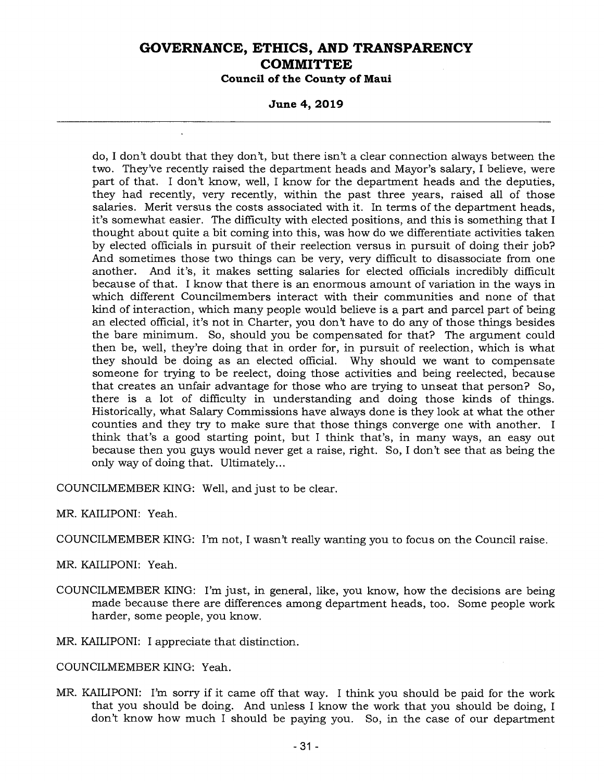**Council of the County of Maui** 

**June 4, 2019** 

do, I don't doubt that they don't, but there isn't a clear connection always between the two. They've recently raised the department heads and Mayor's salary, I believe, were part of that. I don't know, well, I know for the department heads and the deputies, they had recently, very recently, within the past three years, raised all of those salaries. Merit versus the costs associated with it. In terms of the department heads, it's somewhat easier. The difficulty with elected positions, and this is something that I thought about quite a bit coming into this, was how do we differentiate activities taken by elected officials in pursuit of their reelection versus in pursuit of doing their job? And sometimes those two things can be very, very difficult to disassociate from one another. And it's, it makes setting salaries for elected officials incredibly difficult because of that. I know that there is an enormous amount of variation in the ways in which different Councilmembers interact with their communities and none of that kind of interaction, which many people would believe is a part and parcel part of being an elected official, it's not in Charter, you don't have to do any of those things besides the bare minimum. So, should you be compensated for that? The argument could then be, well, they're doing that in order for, in pursuit of reelection, which is what they should be doing as an elected official. Why should we want to compensate someone for trying to be reelect, doing those activities and being reelected, because that creates an unfair advantage for those who are trying to unseat that person? So, there is a lot of difficulty in understanding and doing those kinds of things. Historically, what Salary Commissions have always done is they look at what the other counties and they try to make sure that those things converge one with another. I think that's a good starting point, but I think that's, in many ways, an easy out because then you guys would never get a raise, right. So, I don't see that as being the only way of doing that. Ultimately...

COUNCILMEMBER KING: Well, and just to be clear.

MR. KAILIPONI: Yeah.

COUNCILMEMBER KING: I'm not, I wasn't really wanting you to focus on the Council raise.

MR. KAILIPONI: Yeah.

COUNCILMEMBER KING: I'm just, in general, like, you know, how the decisions are being made because there are differences among department heads, too. Some people work harder, some people, you know.

MR. KAILIPONI: I appreciate that distinction.

COUNCILMEMBER KING: Yeah.

MR. KAILIPONI: I'm sorry if it came off that way. I think you should be paid for the work that you should be doing. And unless I know the work that you should be doing, I don't know how much I should be paying you. So, in the case of our department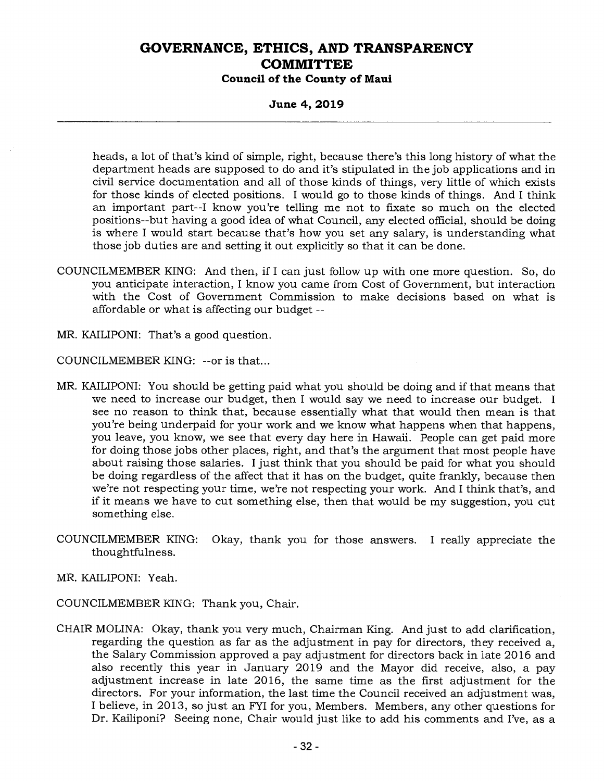**Council of the County of Maui** 

**June 4, 2019** 

heads, a lot of that's kind of simple, right, because there's this long history of what the department heads are supposed to do and it's stipulated in the job applications and in civil service documentation and all of those kinds of things, very little of which exists for those kinds of elected positions. I would go to those kinds of things. And I think an important part--I know you're telling me not to fixate so much on the elected positions--but having a good idea of what Council, any elected official, should be doing is where I would start because that's how you set any salary, is understanding what those job duties are and setting it out explicitly so that it can be done.

- COUNCILMEMBER KING: And then, if I can just follow up with one more question. So, do you anticipate interaction, I know you came from Cost of Government, but interaction with the Cost of Government Commission to make decisions based on what is affordable or what is affecting our budget --
- MR. KAILIPONI: That's a good question.

COUNCILMEMBER KING: --or is that...

- MR. KAILIPONI: You should be getting paid what you should be doing and if that means that we need to increase our budget, then I would say we need to increase our budget. I see no reason to think that, because essentially what that would then mean is that you're being underpaid for your work and we know what happens when that happens, you leave, you know, we see that every day here in Hawaii. People can get paid more for doing those jobs other places, right, and that's the argument that most people have about raising those salaries. I just think that you should be paid for what you should be doing regardless of the affect that it has on the budget, quite frankly, because then we're not respecting your time, we're not respecting your work. And I think that's, and if it means we have to cut something else, then that would be my suggestion, you cut something else.
- COUNCILMEMBER KING: Okay, thank you for those answers. I really appreciate the thoughtfulness.

MR. KAILIPONI: Yeah.

- COUNCILMEMBER KING: Thank you, Chair.
- CHAIR MOLINA: Okay, thank you very much, Chairman King. And just to add clarification, regarding the question as far as the adjustment in pay for directors, they received a, the Salary Commission approved a pay adjustment for directors back in late 2016 and also recently this year in January 2019 and the Mayor did receive, also, a pay adjustment increase in late 2016, the same time as the first adjustment for the directors. For your information, the last time the Council received an adjustment was, I believe, in 2013, so just an FYI for you, Members. Members, any other questions for Dr. Kailiponi? Seeing none, Chair would just like to add his comments and I've, as a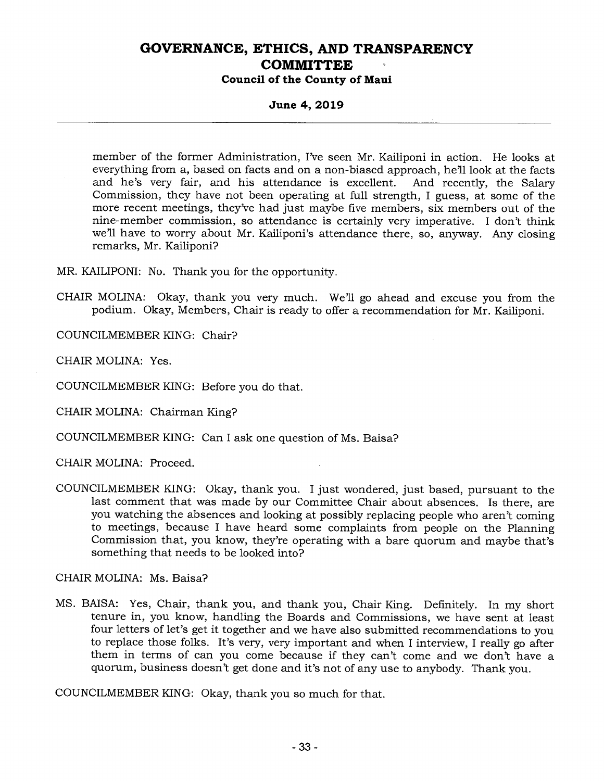#### **June 4, 2019**

member of the former Administration, I've seen Mr. Kailiponi in action. He looks at everything from a, based on facts and on a non-biased approach, he'll look at the facts and he's very fair, and his attendance is excellent. And recently, the Salary Commission, they have not been operating at full strength, I guess, at some of the more recent meetings, they've had just maybe five members, six members out of the nine-member commission, so attendance is certainly very imperative. I don't think we'll have to worry about Mr. Kailiponi's attendance there, so, anyway. Any closing remarks, Mr. Kailiponi?

MR. KAILIPONI: No. Thank you for the opportunity.

CHAIR MOLINA: Okay, thank you very much. We'll go ahead and excuse you from the podium. Okay, Members, Chair is ready to offer a recommendation for Mr. Kailiponi.

COUNCILMEMBER KING: Chair?

CHAIR MOLINA: Yes.

COUNCILMEMBER KING: Before you do that.

CHAIR MOLINA: Chairman King?

COUNCILMEMBER KING: Can I ask one question of Ms. Baisa?

CHAIR MOLINA: Proceed.

COUNCILMEMBER KING: Okay, thank you. I just wondered, just based, pursuant to the last comment that was made by our Committee Chair about absences. Is there, are you watching the absences and looking at possibly replacing people who aren't coming to meetings, because I have heard some complaints from people on the Planning Commission that, you know, they're operating with a bare quorum and maybe that's something that needs to be looked into?

CHAIR MOLINA: Ms. Baisa?

MS. BAISA: Yes, Chair, thank you, and thank you, Chair King. Definitely. In my short tenure in, you know, handling the Boards and Commissions, we have sent at least four letters of let's get it together and we have also submitted recommendations to you to replace those folks. It's very, very important and when I interview, I really go after them in terms of can you come because if they can't come and we don't have a quorum, business doesn't get done and it's not of any use to anybody. Thank you.

COUNCILMEMBER KING: Okay, thank you so much for that.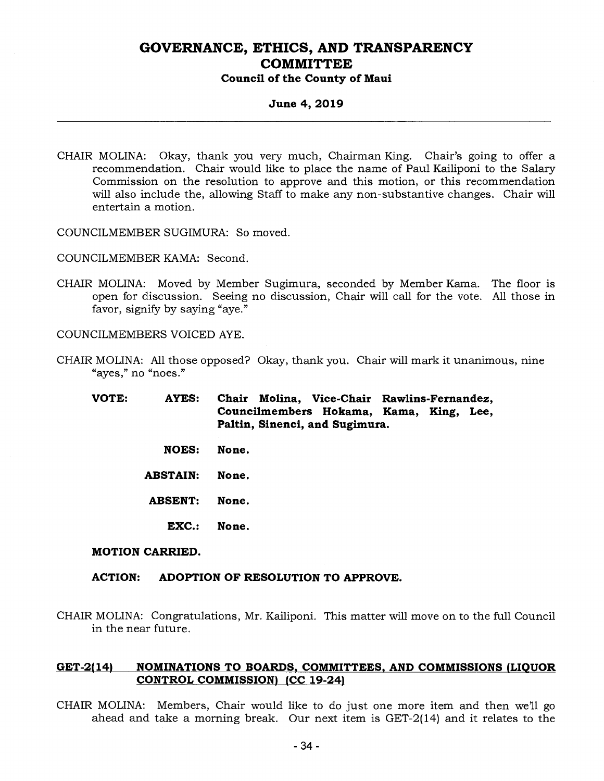**Council of the County of Maui** 

#### **June 4, 2019**

- CHAIR MOLINA: Okay, thank you very much, Chairman King. Chair's going to offer a recommendation. Chair would like to place the name of Paul Kailiponi to the Salary Commission on the resolution to approve and this motion, or this recommendation will also include the, allowing Staff to make any non-substantive changes. Chair will entertain a motion.
- COUNCILMEMBER SUGIMURA: So moved.

COUNCILMEMBER KAMA: Second.

CHAIR MOLINA: Moved by Member Sugimura, seconded by Member Kama. The floor is open for discussion. Seeing no discussion, Chair will call for the vote. All those in favor, signify by saying "aye."

COUNCILMEMBERS VOICED AYE.

- CHAIR MOLINA: All those opposed? Okay, thank you. Chair will mark it unanimous, nine "ayes," no "noes."
	- **VOTE: AYES: Chair Molina, Vice-Chair Rawlins-Fernandez, Councilmembers Hokama, Kama, King, Lee, Paltin, Sinenci, and Sugimura.** 
		- **NOES: None.**
		- **ABSTAIN: None.**
		- **ABSENT: None.** 
			- **EXC.: None.**

#### **MOTION CARRIED.**

#### **ACTION: ADOPTION OF RESOLUTION TO APPROVE.**

CHAIR MOLINA: Congratulations, Mr. Kailiponi. This matter will move on to the full Council in the near future.

#### **GET-2(14) NOMINATIONS TO BOARDS, COMMITTEES, AND COMMISSIONS (LIQUOR CONTROL COMMISSION) (CC 19-24)**

CHAIR MOLINA: Members, Chair would like to do just one more item and then we'll go ahead and take a morning break. Our next item is GET-2(14) and it relates to the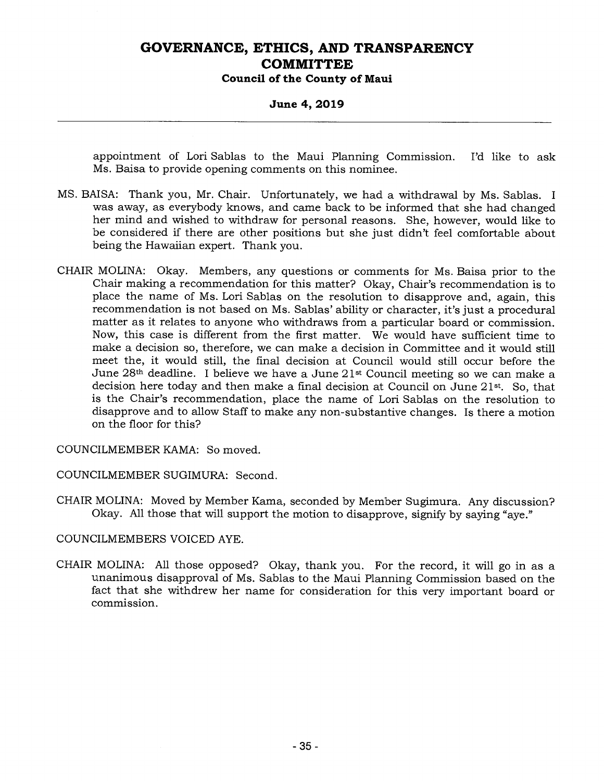**Council of the County of Maui** 

#### **June 4, 2019**

appointment of Lori Sablas to the Maui Planning Commission. I'd like to ask Ms. Baisa to provide opening comments on this nominee.

- MS. BAISA: Thank you, Mr. Chair. Unfortunately, we had a withdrawal by Ms. Sablas. I was away, as everybody knows, and came back to be informed that she had changed her mind and wished to withdraw for personal reasons. She, however, would like to be considered if there are other positions but she just didn't feel comfortable about being the Hawaiian expert. Thank you.
- CHAIR MOLINA: Okay. Members, any questions or comments for Ms. Baisa prior to the Chair making a recommendation for this matter? Okay, Chair's recommendation is to place the name of Ms. Lori Sablas on the resolution to disapprove and, again, this recommendation is not based on Ms. Sablas' ability or character, it's just a procedural matter as it relates to anyone who withdraws from a particular board or commission. Now, this case is different from the first matter. We would have sufficient time to make a decision so, therefore, we can make a decision in Committee and it would still meet the, it would still, the final decision at Council would still occur before the June 28th deadline. I believe we have a June 21st Council meeting so we can make a decision here today and then make a final decision at Council on June 21st. So, that is the Chair's recommendation, place the name of Lori Sablas on the resolution to disapprove and to allow Staff to make any non-substantive changes. Is there a motion on the floor for this?

COUNCILMEMBER KAMA: So moved.

COUNCILMEMBER SUGIMURA: Second.

CHAIR MOLINA: Moved by Member Kama, seconded by Member Sugimura. Any discussion? Okay. All those that will support the motion to disapprove, signify by saying "aye."

COUNCILMEMBERS VOICED AYE.

CHAIR MOLINA: All those opposed? Okay, thank you. For the record, it will go in as a unanimous disapproval of Ms. Sablas to the Maui Planning Commission based on the fact that she withdrew her name for consideration for this very important board or commission.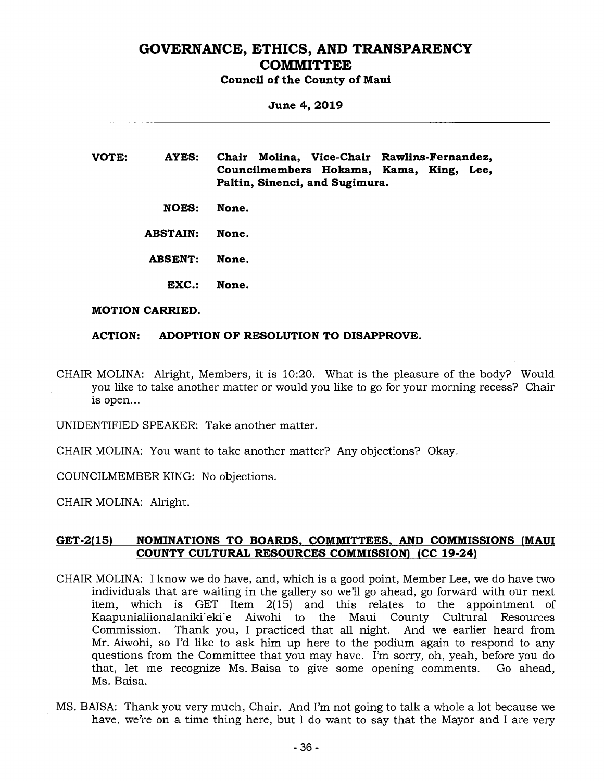**Council of the County of Maui** 

**June 4, 2019** 

**VOTE: AYES: Chair Molina, Vice-Chair Rawlins-Fernandez, Councilmembers Hokama, Kama, King, Lee, Paltin, Sinenci, and Sugimura.** 

**NOES: None.** 

**ABSTAIN: None.** 

- **ABSENT: None.** 
	- **EXC.: None.**

#### **MOTION CARRIED.**

#### **ACTION: ADOPTION OF RESOLUTION TO DISAPPROVE.**

CHAIR MOLINA: Alright, Members, it is 10:20. What is the pleasure of the body? Would you like to take another matter or would you like to go for your morning recess? Chair is open...

UNIDENTIFIED SPEAKER: Take another matter.

CHAIR MOLINA: You want to take another matter? Any objections? Okay.

COUNCILMEMBER KING: No objections.

CHAIR MOLINA: Alright.

#### **GET-2(15) NOMINATIONS TO BOARDS, COMMITTEES, AND COMMISSIONS (MAUI COUNTY CULTURAL RESOURCES COMMISSION) (CC 19-24)**

- CHAIR MOLINA: I know we do have, and, which is a good point, Member Lee, we do have two individuals that are waiting in the gallery so we'll go ahead, go forward with our next item, which is GET Item 2(15) and this relates to the appointment of Kaapunialiionalaniki`eki`e Aiwohi to the Maui County Cultural Resources<br>Commission. Thank you, I practiced that all night. And we earlier heard from Thank you, I practiced that all night. And we earlier heard from Mr. Aiwohi, so I'd like to ask him up here to the podium again to respond to any questions from the Committee that you may have. I'm sorry, oh, yeah, before you do that, let me recognize Ms. Baisa to give some opening comments. Go ahead, Ms. Baisa.
- MS. BAISA: Thank you very much, Chair. And I'm not going to talk a whole a lot because we have, we're on a time thing here, but I do want to say that the Mayor and I are very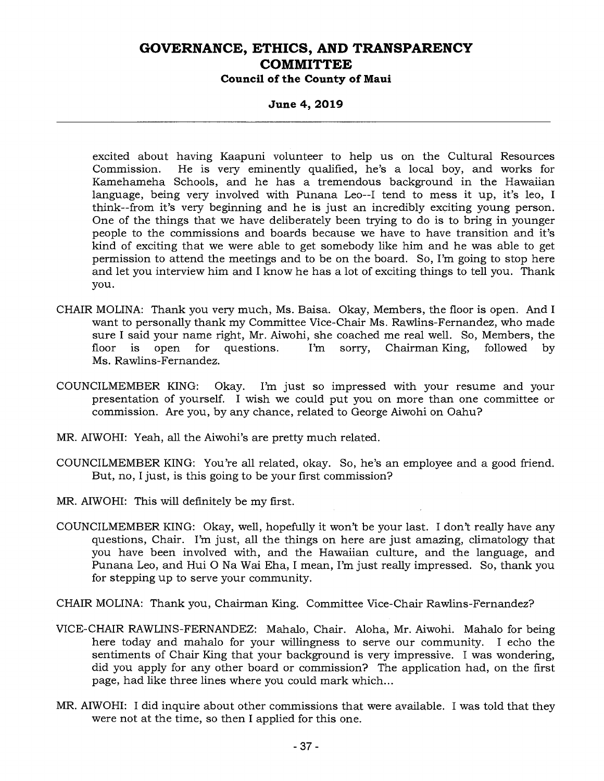**Council of the County of Maui** 

**June 4, 2019** 

excited about having Kaapuni volunteer to help us on the Cultural Resources<br>Commission. He is very eminently qualified, he's a local boy, and works for He is very eminently qualified, he's a local boy, and works for Kamehameha Schools, and he has a tremendous background in the Hawaiian language, being very involved with Punana Leo--I tend to mess it up, it's leo, I think--from it's very beginning and he is just an incredibly exciting young person. One of the things that we have deliberately been trying to do is to bring in younger people to the commissions and boards because we have to have transition and it's kind of exciting that we were able to get somebody like him and he was able to get permission to attend the meetings and to be on the board. So, I'm going to stop here and let you interview him and I know he has a lot of exciting things to tell you. Thank you.

- CHAIR MOLINA: Thank you very much, Ms. Baisa. Okay, Members, the floor is open. And I want to personally thank my Committee Vice-Chair Ms. Rawlins-Fernandez, who made sure I said your name right, Mr. Aiwohi, she coached me real well. So, Members, the floor is open for questions. I'm sorry, Chairman King, followed by Ms. Rawlins-Fernandez.
- COUNCILMEMBER KING: Okay. I'm just so impressed with your resume and your presentation of yourself. I wish we could put you on more than one committee or commission. Are you, by any chance, related to George Aiwohi on Oahu?
- MR. AIWOHI: Yeah, all the Aiwohi's are pretty much related.
- COUNCILMEMBER KING: You're all related, okay. So, he's an employee and a good friend. But, no, I just, is this going to be your first commission?
- MR. AIWOHI: This will definitely be my first.
- COUNCILMEMBER KING: Okay, well, hopefully it won't be your last. I don't really have any questions, Chair. I'm just, all the things on here are just amazing, climatology that you have been involved with, and the Hawaiian culture, and the language, and Punana Leo, and Hui 0 Na Wai Eha, I mean, I'm just really impressed. So, thank you for stepping up to serve your community.

CHAIR MOLINA: Thank you, Chairman King. Committee Vice-Chair Rawlins-Fernandez?

- VICE-CHAIR RAWLINS-FERNANDEZ: Mahalo, Chair. Aloha, Mr. Aiwohi. Mahalo for being here today and mahalo for your willingness to serve our community. I echo the sentiments of Chair King that your background is very impressive. I was wondering, did you apply for any other board or commission? The application had, on the first page, had like three lines where you could mark which...
- MR. AIWOHI: I did inquire about other commissions that were available. I was told that they were not at the time, so then I applied for this one.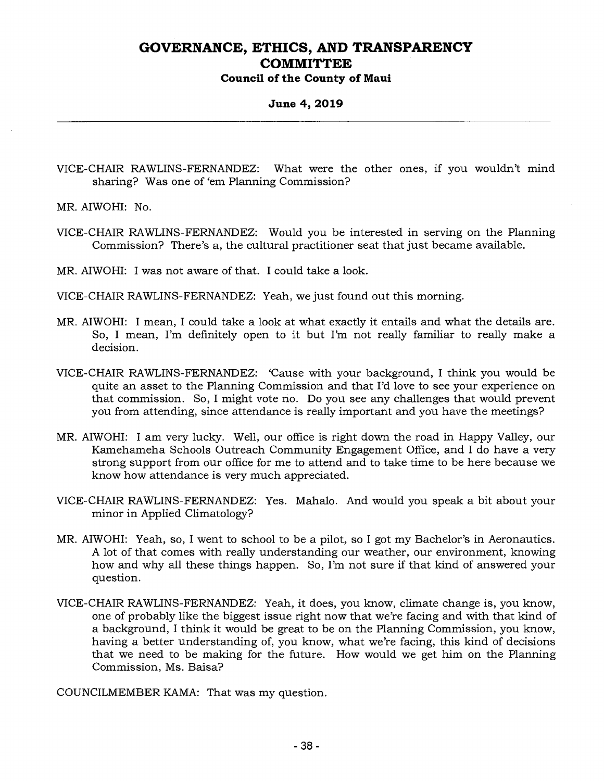**Council of the County of Maui** 

**June 4, 2019** 

VICE-CHAIR RAWLINS-FERNANDEZ: What were the other ones, if you wouldn't mind sharing? Was one of 'em Planning Commission?

MR. AIWOHI: No.

VICE-CHAIR RAWLINS-FERNANDEZ: Would you be interested in serving on the Planning Commission? There's a, the cultural practitioner seat that just became available.

MR. AIWOHI: I was not aware of that. I could take a look.

VICE-CHAIR RAWLINS-FERNANDEZ: Yeah, we just found out this morning.

- MR. AIWOHI: I mean, I could take a look at what exactly it entails and what the details are. So, I mean, I'm definitely open to it but I'm not really familiar to really make a decision.
- VICE-CHAIR RAWLINS-FERNANDEZ: 'Cause with your background, I think you would be quite an asset to the Planning Commission and that I'd love to see your experience on that commission. So, I might vote no. Do you see any challenges that would prevent you from attending, since attendance is really important and you have the meetings?
- MR. AIWOHI: I am very lucky. Well, our office is right down the road in Happy Valley, our Kamehameha Schools Outreach Community Engagement Office, and I do have a very strong support from our office for me to attend and to take time to be here because we know how attendance is very much appreciated.
- VICE-CHAIR RAWLINS-FERNANDEZ: Yes. Mahalo. And would you speak a bit about your minor in Applied Climatology?
- MR. AIWOHI: Yeah, so, I went to school to be a pilot, so I got my Bachelor's in Aeronautics. A lot of that comes with really understanding our weather, our environment, knowing how and why all these things happen. So, I'm not sure if that kind of answered your question.
- VICE-CHAIR RAWLINS-FERNANDEZ: Yeah, it does, you know, climate change is, you know, one of probably like the biggest issue right now that we're facing and with that kind of a background, I think it would be great to be on the Planning Commission, you know, having a better understanding of, you know, what we're facing, this kind of decisions that we need to be making for the future. How would we get him on the Planning Commission, Ms. Baisa?

COUNCILMEMBER KAMA: That was my question.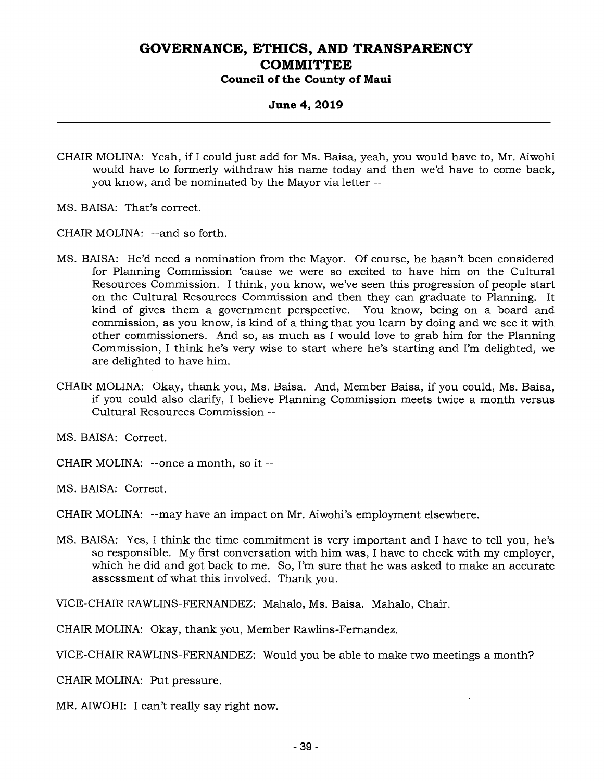#### **June 4, 2019**

- CHAIR MOLINA: Yeah, if I could just add for Ms. Baisa, yeah, you would have to, Mr. Aiwohi would have to formerly withdraw his name today and then we'd have to come back, you know, and be nominated by the Mayor via letter --
- MS. BAISA: That's correct.
- CHAIR MOLINA: --and so forth.
- MS. BAISA: He'd need a nomination from the Mayor. Of course, he hasn't been considered for Planning Commission 'cause we were so excited to have him on the Cultural Resources Commission. I think, you know, we've seen this progression of people start on the Cultural Resources Commission and then they can graduate to Planning. It kind of gives them a government perspective. You know, being on a board and commission, as you know, is kind of a thing that you learn by doing and we see it with other commissioners. And so, as much as I would love to grab him for the Planning Commission, I think he's very wise to start where he's starting and I'm delighted, we are delighted to have him.
- CHAIR MOLINA: Okay, thank you, Ms. Baisa. And, Member Baisa, if you could, Ms. Baisa, if you could also clarify, I believe Planning Commission meets twice a month versus Cultural Resources Commission --
- MS. BAISA: Correct.
- CHAIR MOLINA: --once a month, so it --

MS. BAISA: Correct.

CHAIR MOLINA: --may have an impact on Mr. Aiwohi's employment elsewhere.

MS. BAISA: Yes, I think the time commitment is very important and I have to tell you, he's so responsible. My first conversation with him was, I have to check with my employer, which he did and got back to me. So, I'm sure that he was asked to make an accurate assessment of what this involved. Thank you.

VICE-CHAIR RAWLINS-FERNANDEZ: Mahalo, Ms. Baisa. Mahalo, Chair.

CHAIR MOLINA: Okay, thank you, Member Rawlins-Fernandez.

VICE-CHAIR RAWLINS-FERNANDEZ: Would you be able to make two meetings a month?

CHAIR MOLINA: Put pressure.

MR. AIWOHI: I can't really say right now.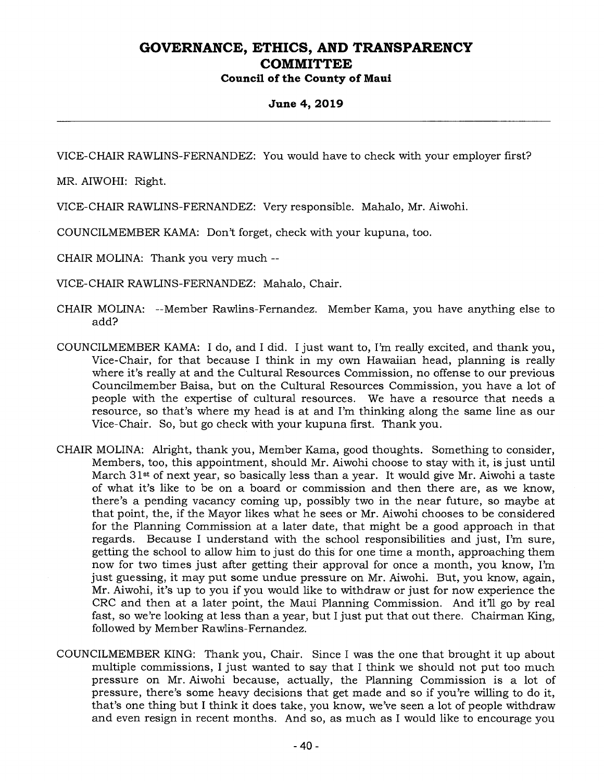**Council of the County of Maui** 

#### **June 4, 2019**

VICE-CHAIR RAWLINS-FERNANDEZ: You would have to check with your employer first?

MR. AIWOHI: Right.

VICE-CHAIR RAWLINS-FERNANDEZ: Very responsible. Mahalo, Mr. Aiwohi.

COUNCILMEMBER KAMA: Don't forget, check with your kupuna, too.

CHAIR MOLINA: Thank you very much --

VICE-CHAIR RAWLINS-FERNANDEZ: Mahalo, Chair.

- CHAIR MOLINA: --Member Rawlins-Fernandez. Member Kama, you have anything else to add?
- COUNCILMEMBER KAMA: I do, and I did. I just want to, I'm really excited, and thank you, Vice-Chair, for that because I think in my own Hawaiian head, planning is really where it's really at and the Cultural Resources Commission, no offense to our previous Councilmember Baisa, but on the Cultural Resources Commission, you have a lot of people with the expertise of cultural resources. We have a resource that needs a resource, so that's where my head is at and I'm thinking along the same line as our Vice-Chair. So, but go check with your kupuna first. Thank you.
- CHAIR MOLINA: Alright, thank you, Member Kama, good thoughts. Something to consider, Members, too, this appointment, should Mr. Aiwohi choose to stay with it, is just until March 31<sup>st</sup> of next year, so basically less than a year. It would give Mr. Aiwohi a taste of what it's like to be on a board or commission and then there are, as we know, there's a pending vacancy coming up, possibly two in the near future, so maybe at that point, the, if the Mayor likes what he sees or Mr. Aiwohi chooses to be considered for the Planning Commission at a later date, that might be a good approach in that regards. Because I understand with the school responsibilities and just, I'm sure, getting the school to allow him to just do this for one time a month, approaching them now for two times just after getting their approval for once a month, you know, I'm just guessing, it may put some undue pressure on Mr. Aiwohi. But, you know, again, Mr. Aiwohi, it's up to you if you would like to withdraw or just for now experience the CRC and then at a later point, the Maui Planning Commission. And it'll go by real fast, so we're looking at less than a year, but I just put that out there. Chairman King, followed by Member Rawlins-Fernandez.
- COUNCILMEMBER KING: Thank you, Chair. Since I was the one that brought it up about multiple commissions, I just wanted to say that I think we should not put too much pressure on Mr. Aiwohi because, actually, the Planning Commission is a lot of pressure, there's some heavy decisions that get made and so if you're willing to do it, that's one thing but I think it does take, you know, we've seen a lot of people withdraw and even resign in recent months. And so, as much as I would like to encourage you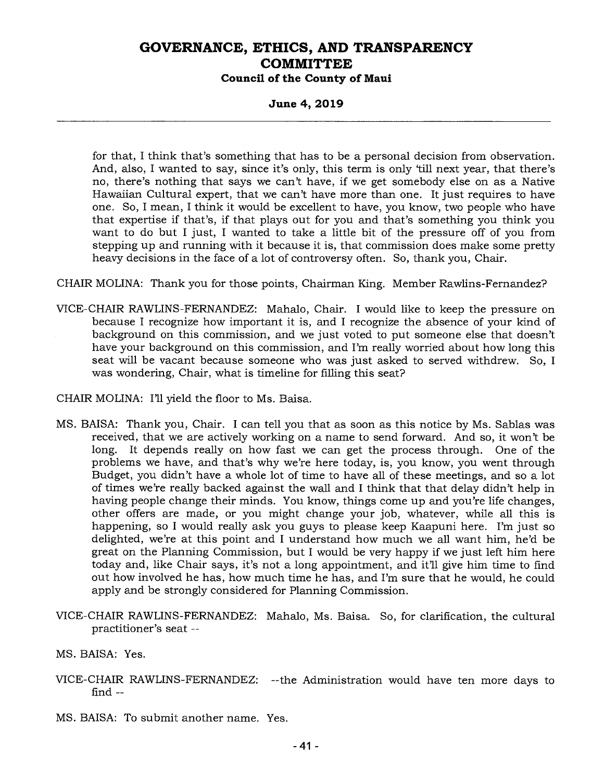**Council of the County of Maui** 

**June 4, 2019** 

for that, I think that's something that has to be a personal decision from observation. And, also, I wanted to say, since it's only, this term is only 'till next year, that there's no, there's nothing that says we can't have, if we get somebody else on as a Native Hawaiian Cultural expert, that we can't have more than one. It just requires to have one. So, I mean, I think it would be excellent to have, you know, two people who have that expertise if that's, if that plays out for you and that's something you think you want to do but I just, I wanted to take a little bit of the pressure off of you from stepping up and running with it because it is, that commission does make some pretty heavy decisions in the face of a lot of controversy often. So, thank you, Chair.

CHAIR MOLINA: Thank you for those points, Chairman King. Member Rawlins-Fernandez?

VICE-CHAIR RAWLINS-FERNANDEZ: Mahalo, Chair. I would like to keep the pressure on because I recognize how important it is, and I recognize the absence of your kind of background on this commission, and we just voted to put someone else that doesn't have your background on this commission, and I'm really worried about how long this seat will be vacant because someone who was just asked to served withdrew. So, I was wondering, Chair, what is timeline for filling this seat?

CHAIR MOLINA: I'll yield the floor to Ms. Baisa.

- MS. BAISA: Thank you, Chair. I can tell you that as soon as this notice by Ms. Sablas was received, that we are actively working on a name to send forward. And so, it won't be long. It depends really on how fast we can get the process through. One of the problems we have, and that's why we're here today, is, you know, you went through Budget, you didn't have a whole lot of time to have all of these meetings, and so a lot of times we're really backed against the wall and I think that that delay didn't help in having people change their minds. You know, things come up and you're life changes, other offers are made, or you might change your job, whatever, while all this is happening, so I would really ask you guys to please keep Kaapuni here. I'm just so delighted, we're at this point and I understand how much we all want him, he'd be great on the Planning Commission, but I would be very happy if we just left him here today and, like Chair says, it's not a long appointment, and it'll give him time to find out how involved he has, how much time he has, and I'm sure that he would, he could apply and be strongly considered for Planning Commission.
- VICE-CHAIR RAWLINS-FERNANDEZ: Mahalo, Ms. Baisa. So, for clarification, the cultural practitioner's seat --
- MS. BAISA: Yes.
- VICE-CHAIR RAWLINS-FERNANDEZ: --the Administration would have ten more days to find --
- MS. BAISA: To submit another name. Yes.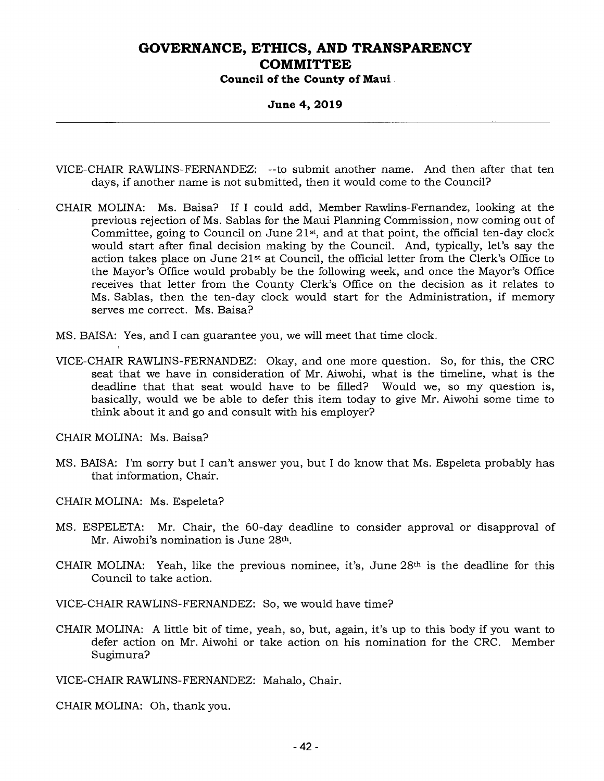**Council of the County of Maui** 

**June 4, 2019** 

- VICE-CHAIR RAWLINS-FERNANDEZ: --to submit another name. And then after that ten days, if another name is not submitted, then it would come to the Council?
- CHAIR MOLINA: Ms. Baisa? If I could add, Member Rawlins-Fernandez, looking at the previous rejection of Ms. Sablas for the Maui Planning Commission, now coming out of Committee, going to Council on June  $21<sup>st</sup>$ , and at that point, the official ten-day clock would start after final decision making by the Council. And, typically, let's say the action takes place on June 21st at Council, the official letter from the Clerk's Office to the Mayor's Office would probably be the following week, and once the Mayor's Office receives that letter from the County Clerk's Office on the decision as it relates to Ms. Sablas, then the ten-day clock would start for the Administration, if memory serves me correct. Ms. Baisa?
- MS. BAISA: Yes, and I can guarantee you, we will meet that time clock.
- VICE-CHAIR RAWLINS-FERNANDEZ: Okay, and one more question. So, for this, the CRC seat that we have in consideration of Mr. Aiwohi, what is the timeline, what is the deadline that that seat would have to be filled? Would we, so my question is, basically, would we be able to defer this item today to give Mr. Aiwohi some time to think about it and go and consult with his employer?

CHAIR MOLINA: Ms. Baisa?

- MS. BAISA: I'm sorry but I can't answer you, but I do know that Ms. Espeleta probably has that information, Chair.
- CHAIR MOLINA: Ms. Espeleta?
- MS. ESPELETA: Mr. Chair, the 60-day deadline to consider approval or disapproval of Mr. Aiwohi's nomination is June 28th.
- CHAIR MOLINA: Yeah, like the previous nominee, it's, June  $28<sup>th</sup>$  is the deadline for this Council to take action.

VICE-CHAIR RAWLINS-FERNANDEZ: So, we would have time?

CHAIR MOLINA: A little bit of time, yeah, so, but, again, it's up to this body if you want to defer action on Mr. Aiwohi or take action on his nomination for the CRC. Member Sugimura?

VICE-CHAIR RAWLINS-FERNANDEZ: Mahalo, Chair.

CHAIR MOLINA: Oh, thank you.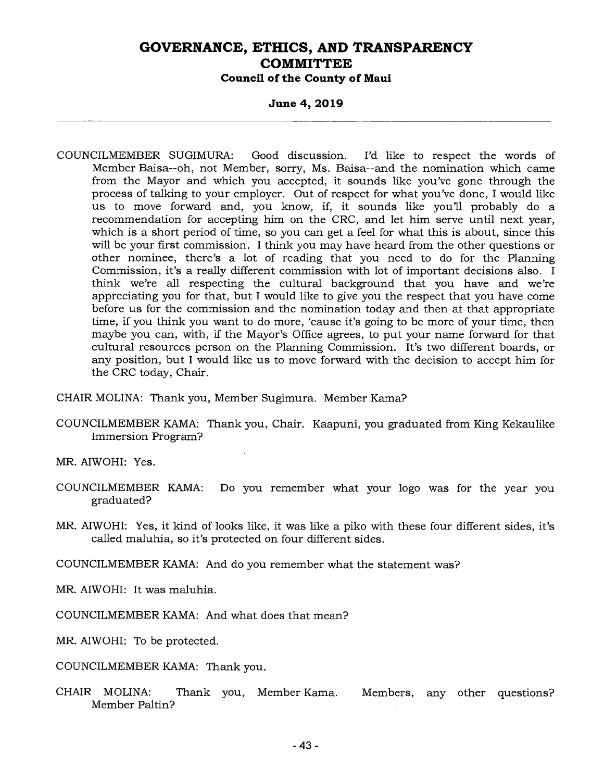**Council of the County of Maui** 

#### **June 4, 2019**

COUNCILMEMBER SUGIMURA: Good discussion. I'd like to respect the words of Member Baisa--oh, not Member, sorry, Ms. Baisa--and the nomination which came from the Mayor and which you accepted, it sounds like you've gone through the process of talking to your employer. Out of respect for what you've done, I would like us to move forward and, you know, if, it sounds like you'll probably do a recommendation for accepting him on the CRC, and let him serve until next year, which is a short period of time, so you can get a feel for what this is about, since this will be your first commission. I think you may have heard from the other questions or other nominee, there's a lot of reading that you need to do for the Planning Commission, it's a really different commission with lot of important decisions also. I think we're all respecting the cultural background that you have and we're appreciating you for that, but I would like to give you the respect that you have come before us for the commission and the nomination today and then at that appropriate time, if you think you want to do more, 'cause it's going to be more of your time, then maybe you can, with, if the Mayor's Office agrees, to put your name forward for that cultural resources person on the Planning Commission. It's two different boards, or any position, but I would like us to move forward with the decision to accept him for the CRC today, Chair.

CHAIR MOLINA: Thank you, Member Sugimura. Member Kama?

COUNCILMEMBER KAMA: Thank you, Chair. Kaapuni, you graduated from King Kekaulike Immersion Program?

MR. AIWOHI: Yes.

- COUNCILMEMBER KAMA: Do you remember what your logo was for the year you graduated?
- MR. AIWOHI: Yes, it kind of looks like, it was like a piko with these four different sides, it's called maluhia, so it's protected on four different sides.

COUNCILMEMBER KAMA: And do you remember what the statement was?

MR. AIWOHI: It was maluhia.

COUNCILMEMBER KAMA: And what does that mean?

MR. AIWOHI: To be protected.

COUNCILMEMBER KAMA: Thank you.

CHAIR MOLINA: Thank you, Member Kama. Members, any other questions? Member Paltin?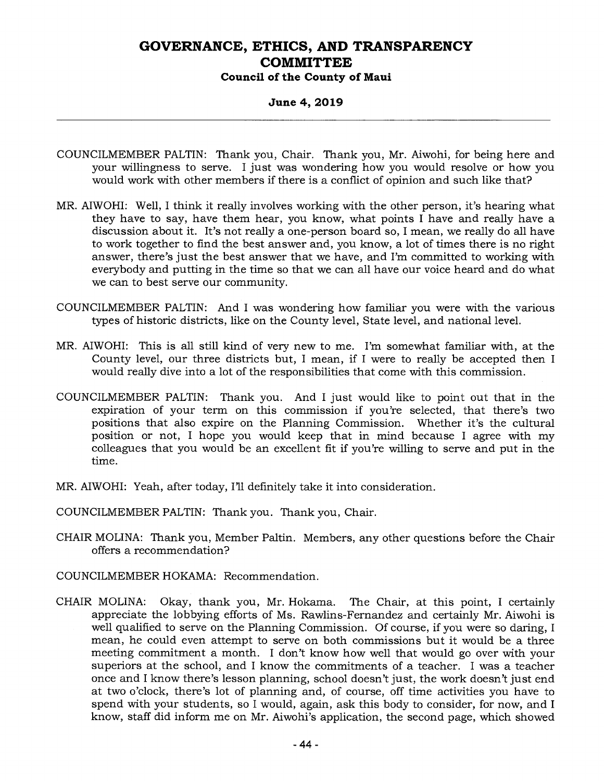#### **June 4, 2019**

- COUNCILMEMBER PALTIN: Thank you, Chair. Thank you, Mr. Aiwohi, for being here and your willingness to serve. I just was wondering how you would resolve or how you would work with other members if there is a conflict of opinion and such like that?
- MR. AIWOHI: Well, I think it really involves working with the other person, it's hearing what they have to say, have them hear, you know, what points I have and really have a discussion about it. It's not really a one-person board so, I mean, we really do all have to work together to find the best answer and, you know, a lot of times there is no right answer, there's just the best answer that we have, and I'm committed to working with everybody and putting in the time so that we can all have our voice heard and do what we can to best serve our community.
- COUNCILMEMBER PALTIN: And I was wondering how familiar you were with the various types of historic districts, like on the County level, State level, and national level.
- MR. AIWOHI: This is all still kind of very new to me. I'm somewhat familiar with, at the County level, our three districts but, I mean, if I were to really be accepted then I would really dive into a lot of the responsibilities that come with this commission.
- COUNCILMEMBER PALTIN: Thank you. And I just would like to point out that in the expiration of your term on this commission if you're selected, that there's two positions that also expire on the Planning Commission. Whether it's the cultural position or not, I hope you would keep that in mind because I agree with my colleagues that you would be an excellent fit if you're willing to serve and put in the time.
- MR. AIWOHI: Yeah, after today, I'll definitely take it into consideration.

COUNCILMEMBER PALTIN: Thank you. Thank you, Chair.

- CHAIR MOLINA: Thank you, Member Paltin. Members, any other questions before the Chair offers a recommendation?
- COUNCILMEMBER HOKAMA: Recommendation.
- CHAIR MOLINA: Okay, thank you, Mr. Hokama. The Chair, at this point, I certainly appreciate the lobbying efforts of Ms. Rawlins-Fernandez and certainly Mr. Aiwohi is well qualified to serve on the Planning Commission. Of course, if you were so daring, I mean, he could even attempt to serve on both commissions but it would be a three meeting commitment a month. I don't know how well that would go over with your superiors at the school, and I know the commitments of a teacher. I was a teacher once and I know there's lesson planning, school doesn't just, the work doesn't just end at two o'clock, there's lot of planning and, of course, off time activities you have to spend with your students, so I would, again, ask this body to consider, for now, and I know, staff did inform me on Mr. Aiwohi's application, the second page, which showed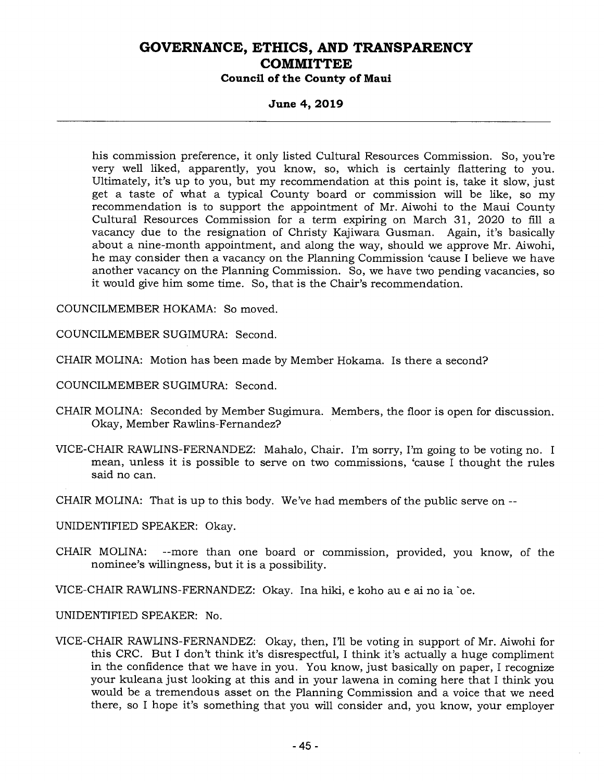**Council of the County of Maui** 

**June 4, 2019** 

his commission preference, it only listed Cultural Resources Commission. So, you're very well liked, apparently, you know, so, which is certainly flattering to you. Ultimately, it's up to you, but my recommendation at this point is, take it slow, just get a taste of what a typical County board or commission will be like, so my recommendation is to support the appointment of Mr. Aiwohi to the Maui County Cultural Resources Commission for a term expiring on March 31, 2020 to fill a vacancy due to the resignation of Christy Kajiwara Gusman. Again, it's basically about a nine-month appointment, and along the way, should we approve Mr. Aiwohi, he may consider then a vacancy on the Planning Commission 'cause I believe we have another vacancy on the Planning Commission. So, we have two pending vacancies, so it would give him some time. So, that is the Chair's recommendation.

COUNCILMEMBER HOKAMA: So moved.

COUNCILMEMBER SUGIMURA: Second.

CHAIR MOLINA: Motion has been made by Member Hokama. Is there a second?

COUNCILMEMBER SUGIMURA: Second.

- CHAIR MOLINA: Seconded by Member Sugimura. Members, the floor is open for discussion. Okay, Member Rawlins-Fernandez?
- VICE-CHAIR RAWLINS-FERNANDEZ: Mahalo, Chair. I'm sorry, I'm going to be voting no. I mean, unless it is possible to serve on two commissions, 'cause I thought the rules said no can.
- CHAIR MOLINA: That is up to this body. We've had members of the public serve on --

UNIDENTIFIED SPEAKER: Okay.

CHAIR MOLINA: --more than one board or commission, provided, you know, of the nominee's willingness, but it is a possibility.

VICE-CHAIR RAWLINS-FERNANDEZ: Okay. Ina hiki, e koho au e ai no ia `oe.

UNIDENTIFIED SPEAKER: No.

VICE-CHAIR RAWLINS-FERNANDEZ: Okay, then, I'll be voting in support of Mr. Aiwohi for this CRC. But I don't think it's disrespectful, I think it's actually a huge compliment in the confidence that we have in you. You know, just basically on paper, I recognize your kuleana just looking at this and in your lawena in coming here that I think you would be a tremendous asset on the Planning Commission and a voice that we need there, so I hope it's something that you will consider and, you know, your employer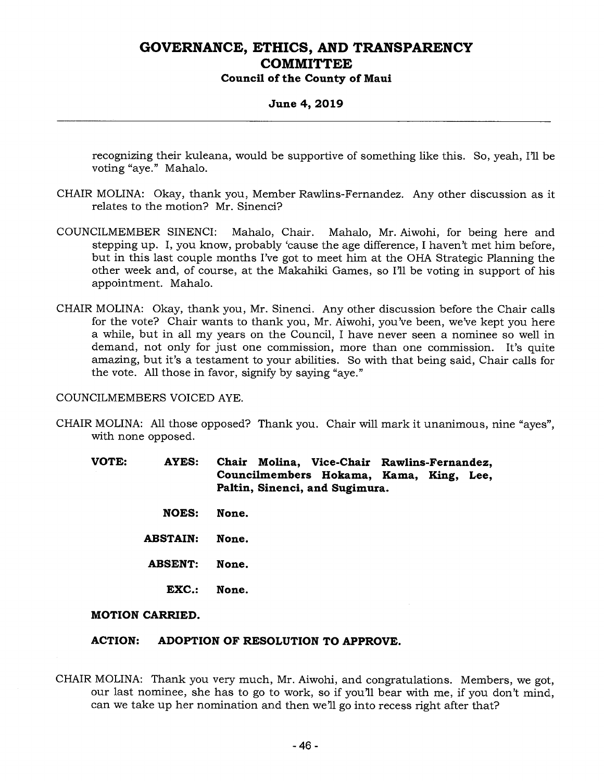**Council of the County of Maui** 

#### **June 4, 2019**

recognizing their kuleana, would be supportive of something like this. So, yeah, I'll be voting "aye." Mahalo.

- CHAIR MOLINA: Okay, thank you, Member Rawlins-Fernandez. Any other discussion as it relates to the motion? Mr. Sinenci?
- COUNCILMEMBER SINENCI: Mahalo, Chair. Mahalo, Mr. Aiwohi, for being here and stepping up. I, you know, probably 'cause the age difference, I haven't met him before, but in this last couple months I've got to meet him at the OHA Strategic Planning the other week and, of course, at the Makahiki Games, so I'll be voting in support of his appointment. Mahalo.
- CHAIR MOLINA: Okay, thank you, Mr. Sinenci. Any other discussion before the Chair calls for the vote? Chair wants to thank you, Mr. Aiwohi, you've been, we've kept you here a while, but in all my years on the Council, I have never seen a nominee so well in demand, not only for just one commission, more than one commission. It's quite amazing, but it's a testament to your abilities. So with that being said, Chair calls for the vote. All those in favor, signify by saying "aye."

COUNCILMEMBERS VOICED AYE.

CHAIR MOLINA: All those opposed? Thank you. Chair will mark it unanimous, nine "ayes", with none opposed.

**VOTE: AYES: Chair Molina, Vice-Chair Rawlins-Fernandez, Councilmembers Hokama, Kama, King, Lee, Paltin, Sinenci, and Sugimura.** 

- **NOES: None.**
- **ABSTAIN: None.**
- **ABSENT: None.** 
	- **EXC.: None.**

#### **MOTION CARRIED.**

#### **ACTION: ADOPTION OF RESOLUTION TO APPROVE.**

CHAIR MOLINA: Thank you very much, Mr. Aiwohi, and congratulations. Members, we got, our last nominee, she has to go to work, so if you'll bear with me, if you don't mind, can we take up her nomination and then we'll go into recess right after that?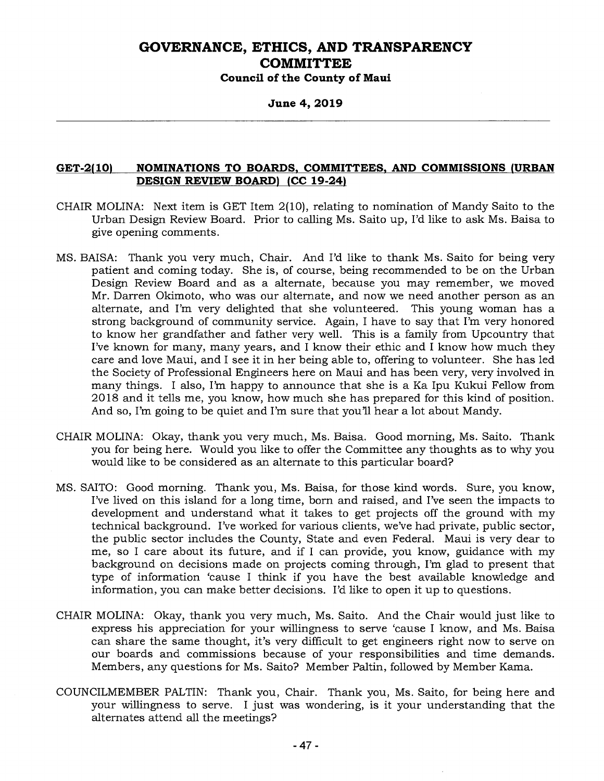**Council of the County of Maui** 

**June 4, 2019** 

#### **GET-2(10) NOMINATIONS TO BOARDS, COMMITTEES, AND COMMISSIONS (URBAN DESIGN REVIEW BOARD) (CC 19-24)**

- CHAIR MOLINA: Next item is GET Item 2(10), relating to nomination of Mandy Saito to the Urban Design Review Board. Prior to calling Ms. Saito up, I'd like to ask Ms. Baisa to give opening comments.
- MS. BAISA: Thank you very much, Chair. And I'd like to thank Ms. Saito for being very patient and coming today. She is, of course, being recommended to be on the Urban Design Review Board and as a alternate, because you may remember, we moved Mr. Darren Okimoto, who was our alternate, and now we need another person as an alternate, and I'm very delighted that she volunteered. This young woman has a strong background of community service. Again, I have to say that I'm very honored to know her grandfather and father very well. This is a family from Upcountry that I've known for many, many years, and I know their ethic and I know how much they care and love Maui, and I see it in her being able to, offering to volunteer. She has led the Society of Professional Engineers here on Maui and has been very, very involved in many things. I also, I'm happy to announce that she is a Ka Ipu Kukui Fellow from 2018 and it tells me, you know, how much she has prepared for this kind of position. And so, I'm going to be quiet and I'm sure that you'll hear a lot about Mandy.
- CHAIR MOLINA: Okay, thank you very much, Ms. Baisa. Good morning, Ms. Saito. Thank you for being here. Would you like to offer the Committee any thoughts as to why you would like to be considered as an alternate to this particular board?
- MS. SAITO: Good morning. Thank you, Ms. Baisa, for those kind words. Sure, you know, I've lived on this island for a long time, born and raised, and I've seen the impacts to development and understand what it takes to get projects off the ground with my technical background. I've worked for various clients, we've had private, public sector, the public sector includes the County, State and even Federal. Maui is very dear to me, so I care about its future, and if I can provide, you know, guidance with my background on decisions made on projects coming through, I'm glad to present that type of information 'cause I think if you have the best available knowledge and information, you can make better decisions. I'd like to open it up to questions.
- CHAIR MOLINA: Okay, thank you very much, Ms. Saito. And the Chair would just like to express his appreciation for your willingness to serve 'cause I know, and Ms. Baisa can share the same thought, it's very difficult to get engineers right now to serve on our boards and commissions because of your responsibilities and time demands. Members, any questions for Ms. Saito? Member Paltin, followed by Member Kama.
- COUNCILMEMBER PALTIN: Thank you, Chair. Thank you, Ms. Saito, for being here and your willingness to serve. I just was wondering, is it your understanding that the alternates attend all the meetings?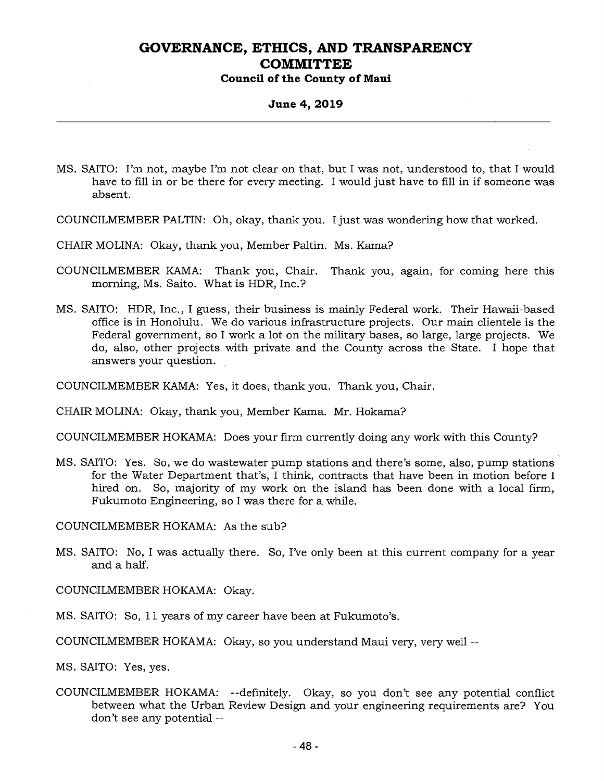#### **Council of the County of Maui**

#### **June 4, 2019**

- MS. SAITO: I'm not, maybe I'm not clear on that, but I was not, understood to, that I would have to fill in or be there for every meeting. I would just have to fill in if someone was absent.
- COUNCILMEMBER PALTIN: Oh, okay, thank you. I just was wondering how that worked.
- CHAIR MOLINA: Okay, thank you, Member Paltin. Ms. Kama?
- COUNCILMEMBER KAMA: Thank you, Chair. Thank you, again, for coming here this morning, Ms. Saito. What is HDR, Inc.?
- MS. SAITO: HDR, Inc., I guess, their business is mainly Federal work. Their Hawaii-based office is in Honolulu. We do various infrastructure projects. Our main clientele is the Federal government, so I work a lot on the military bases, so large, large projects. We do, also, other projects with private and the County across the State. I hope that answers your question.

COUNCILMEMBER KAMA: Yes, it does, thank you. Thank you, Chair.

CHAIR MOLINA: Okay, thank you, Member Kama. Mr. Hokama?

COUNCILMEMBER HOKAMA: Does your firm currently doing any work with this County?

MS. SAITO: Yes. So, we do wastewater pump stations and there's some, also, pump stations for the Water Department that's, I think, contracts that have been in motion before I hired on. So, majority of my work on the island has been done with a local firm, Fukumoto Engineering, so I was there for a while.

COUNCILMEMBER HOKAMA: As the sub?

MS. SAITO: No, I was actually there. So, I've only been at this current company for a year and a half.

COUNCILMEMBER HOKAMA: Okay.

MS. SAITO: So, 11 years of my career have been at Fukumoto's.

COUNCILMEMBER HOKAMA: Okay, so you understand Maui very, very well --

MS. SAITO: Yes, yes.

COUNCILMEMBER HOKAMA: --definitely. Okay, so you don't see any potential conflict between what the Urban Review Design and your engineering requirements are? You don't see any potential --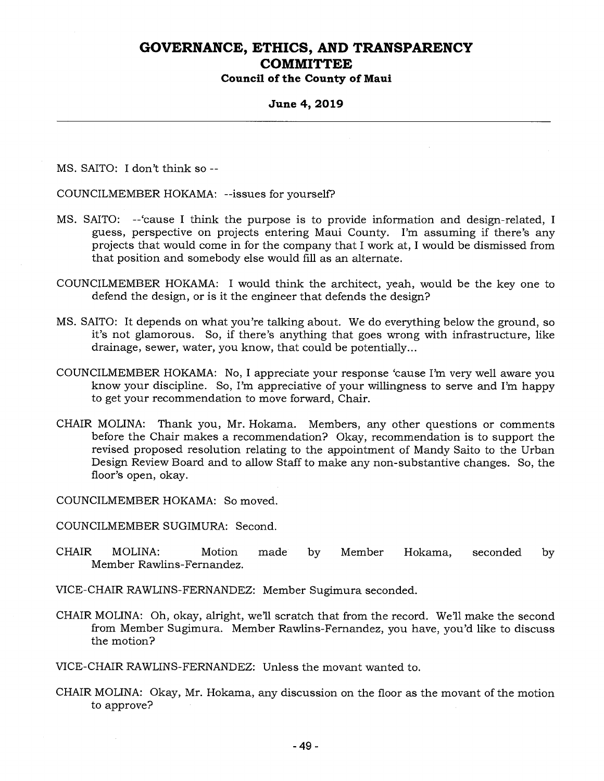**Council of the County of Maui** 

#### **June 4, 2019**

MS. SAITO: I don't think so --

COUNCILMEMBER HOKAMA: --issues for yourself?

- MS. SAITO: -'cause I think the purpose is to provide information and design-related, I guess, perspective on projects entering Maui County. I'm assuming if there's any projects that would come in for the company that I work at, I would be dismissed from that position and somebody else would fill as an alternate.
- COUNCILMEMBER HOKAMA: I would think the architect, yeah, would be the key one to defend the design, or is it the engineer that defends the design?
- MS. SAITO: It depends on what you're talking about. We do everything below the ground, so it's not glamorous. So, if there's anything that goes wrong with infrastructure, like drainage, sewer, water, you know, that could be potentially...
- COUNCILMEMBER HOKAMA: No, I appreciate your response 'cause I'm very well aware you know your discipline. So, I'm appreciative of your willingness to serve and I'm happy to get your recommendation to move forward, Chair.
- CHAIR MOLINA: Thank you, Mr. Hokama. Members, any other questions or comments before the Chair makes a recommendation? Okay, recommendation is to support the revised proposed resolution relating to the appointment of Mandy Saito to the Urban Design Review Board and to allow Staff to make any non-substantive changes. So, the floor's open, okay.

COUNCILMEMBER HOKAMA: So moved.

COUNCILMEMBER SUGIMURA: Second.

- CHAIR MOLINA: Motion made by Member Hokama, seconded by Member Rawlins-Fernandez.
- VICE-CHAIR RAWLINS-FERNANDEZ: Member Sugimura seconded.
- CHAIR MOLINA: Oh, okay, alright, we'll scratch that from the record. Well make the second from Member Sugimura. Member Rawlins-Fernandez, you have, you'd like to discuss the motion?

VICE-CHAIR RAWLINS-FERNANDEZ: Unless the movant wanted to.

CHAIR MOLINA: Okay, Mr. Hokama, any discussion on the floor as the movant of the motion to approve?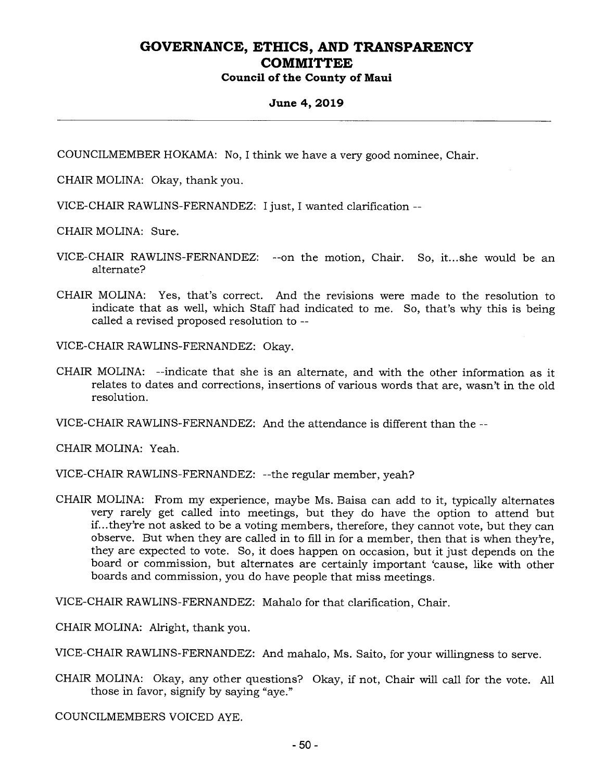### **Council of the County of Maui**

#### **June 4, 2019**

COUNCILMEMBER HOKAMA: No, I think we have a very good nominee, Chair.

CHAIR MOLINA: Okay, thank you.

VICE-CHAIR RAWLINS-FERNANDEZ: I just, I wanted clarification --

CHAIR MOLINA: Sure.

- VICE-CHAIR RAWLINS-FERNANDEZ: --on the motion, Chair. So, it... she would be an alternate?
- CHAIR MOLINA: Yes, that's correct. And the revisions were made to the resolution to indicate that as well, which Staff had indicated to me. So, that's why this is being called a revised proposed resolution to --

VICE-CHAIR RAWLINS-FERNANDEZ: Okay.

CHAIR MOLINA: --indicate that she is an alternate, and with the other information as it relates to dates and corrections, insertions of various words that are, wasn't in the old resolution.

VICE-CHAIR RAWLINS-FERNANDEZ: And the attendance is different than the --

CHAIR MOLINA: Yeah.

VICE-CHAIR RAWLINS-FERNANDEZ: --the regular member, yeah?

CHAIR MOLINA: From my experience, maybe Ms. Baisa can add to it, typically alternates very rarely get called into meetings, but they do have the option to attend but if...they're not asked to be a voting members, therefore, they cannot vote, but they can observe. But when they are called in to fill in for a member, then that is when they're, they are expected to vote. So, it does happen on occasion, but it just depends on the board or commission, but alternates are certainly important 'cause, like with other boards and commission, you do have people that miss meetings.

VICE-CHAIR RAWLINS-FERNANDEZ: Mahalo for that clarification, Chair.

CHAIR MOLINA: Alright, thank you.

VICE-CHAIR RAWLINS-FERNANDEZ: And mahalo, Ms. Saito, for your willingness to serve.

CHAIR MOLINA: Okay, any other questions? Okay, if not, Chair will call for the vote. All those in favor, signify by saying "aye."

COUNCILMEMBERS VOICED AYE.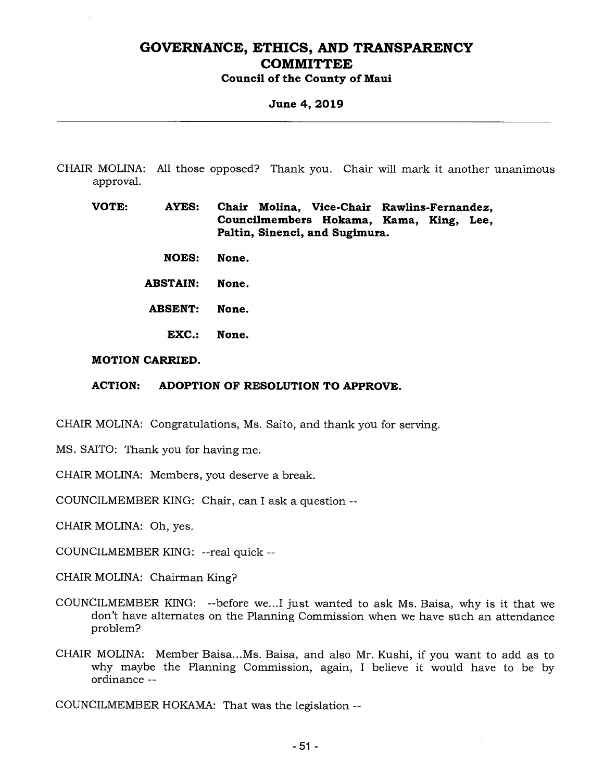**Council of the County of Maui** 

**June 4, 2019** 

CHAIR MOLINA: All those opposed? Thank you. Chair will mark it another unanimous approval.

**VOTE: AYES: Chair Molina, Vice-Chair Rawlins-Fernandez, Councilmembers Hokama, Kama, King, Lee, Paltin, Sinenci, and Sugimura.** 

- **NOES: None.**
- **ABSTAIN: None.**
- **ABSENT: None.** 
	- **EXC.: None.**

#### **MOTION CARRIED.**

**ACTION: ADOPTION OF RESOLUTION TO APPROVE.** 

CHAIR MOLINA: Congratulations, Ms. Saito, and thank you for serving.

MS. SAITO: Thank you for having me.

CHAIR MOLINA: Members, you deserve a break.

COUNCILMEMBER KING: Chair, can I ask a question --

CHAIR MOLINA: Oh, yes.

COUNCILMEMBER KING: --real quick --

CHAIR MOLINA: Chairman King?

- COUNCILMEMBER KING: --before we...I just wanted to ask Ms. Baisa, why is it that we don't have alternates on the Planning Commission when we have such an attendance problem?
- CHAIR MOLINA: Member Baisa...Ms. Baisa, and also Mr. Kushi, if you want to add as to why maybe the Planning Commission, again, I believe it would have to be by ordinance --

COUNCILMEMBER HOKAMA: That was the legislation --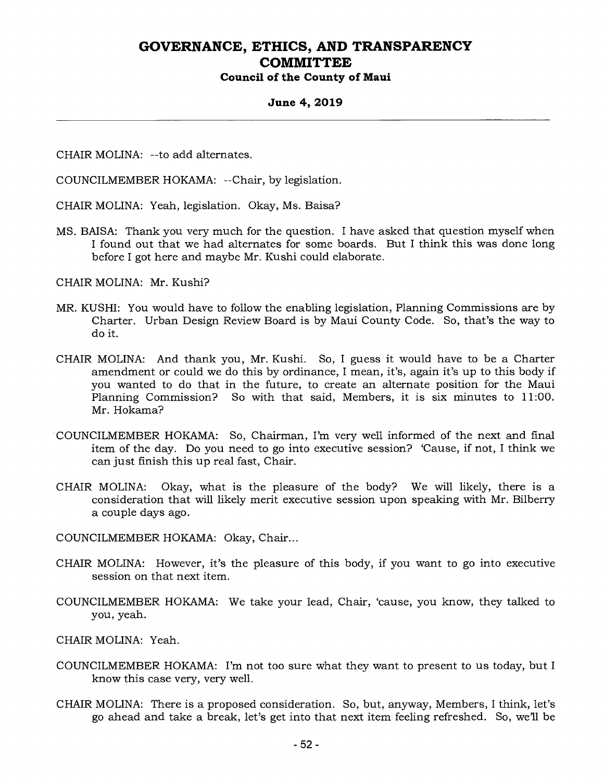#### **June 4, 2019**

CHAIR MOLINA: --to add alternates.

COUNCILMEMBER HOKAMA: --Chair, by legislation.

CHAIR MOLINA: Yeah, legislation. Okay, Ms. Baisa?

MS. BAISA: Thank you very much for the question. I have asked that question myself when I found out that we had alternates for some boards. But I think this was done long before I got here and maybe Mr. Kushi could elaborate.

CHAIR MOLINA: Mr. Kushi?

- MR. KUSHI: You would have to follow the enabling legislation, Planning Commissions are by Charter. Urban Design Review Board is by Maui County Code. So, that's the way to do it.
- CHAIR MOLINA: And thank you, Mr. Kushi. So, I guess it would have to be a Charter amendment or could we do this by ordinance, I mean, it's, again it's up to this body if you wanted to do that in the future, to create an alternate position for the Maui Planning Commission? So with that said, Members, it is six minutes to 11:00. Mr. Hokama?
- COUNCILMEMBER HOKAMA: So, Chairman, I'm very well informed of the next and final item of the day. Do you need to go into executive session? 'Cause, if not, I think we can just finish this up real fast, Chair.
- CHAIR MOLINA: Okay, what is the pleasure of the body? We will likely, there is a consideration that will likely merit executive session upon speaking with Mr. Bilberry a couple days ago.
- COUNCILMEMBER HOKAMA: Okay, Chair...
- CHAIR MOLINA: However, it's the pleasure of this body, if you want to go into executive session on that next item.
- COUNCILMEMBER HOKAMA: We take your lead, Chair, 'cause, you know, they talked to you, yeah.

CHAIR MOLINA: Yeah.

- COUNCILMEMBER HOKAMA: I'm not too sure what they want to present to us today, but I know this case very, very well.
- CHAIR MOLINA: There is a proposed consideration. So, but, anyway, Members, I think, let's go ahead and take a break, let's get into that next item feeling refreshed. So, we'll be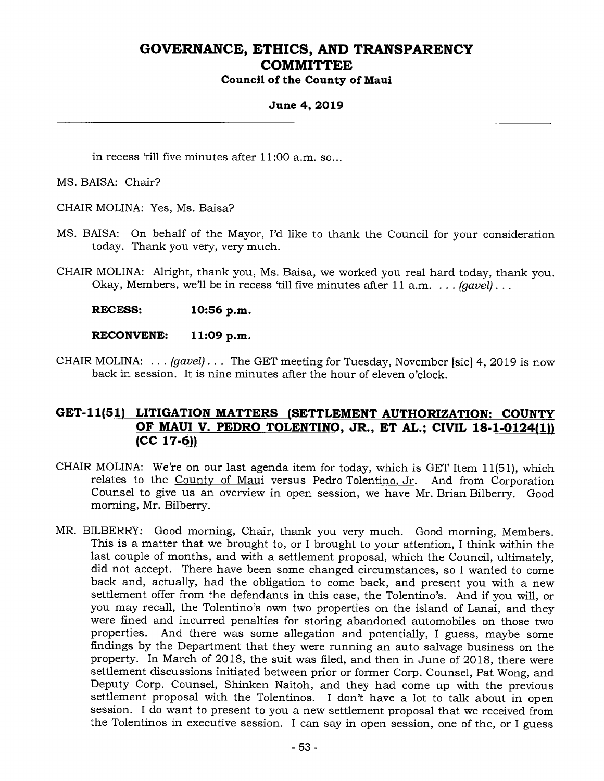### **Council of the County of Maui**

#### **June 4, 2019**

in recess 'till five minutes after 11:00 a.m. so...

MS. BAISA: Chair?

CHAIR MOLINA: Yes, Ms. Baisa?

- MS. BAISA: On behalf of the Mayor, I'd like to thank the Council for your consideration today. Thank you very, very much.
- CHAIR MOLINA: Alright, thank you, Ms. Baisa, we worked you real hard today, thank you. Okay, Members, we'll be in recess 'till five minutes after 11 a.m. . . . *(gavel) . . .*

**RECESS: 10:56 p.m.** 

**RECONVENE: 11:09 p.m.** 

CHAIR MOLINA: . . . *(gavel) . . .* The GET meeting for Tuesday, November [sic] 4, 2019 is now back in session. It is nine minutes after the hour of eleven o'clock.

### **GET-11(51) LITIGATION MATTERS (SETTLEMENT AUTHORIZATION: COUNTY OF MAUI V. PEDRO TOLENTINO, JR., ET AL.; CIVIL 18-1-0124(1)) (CC 17-6))**

- CHAIR MOLINA: We're on our last agenda item for today, which is GET Item 11(51), which relates to the County of Maui versus Pedro Tolentino, Jr. And from Corporation Counsel to give us an overview in open session, we have Mr. Brian Bilberry. Good morning, Mr. Bilberry.
- MR. BILBERRY: Good morning, Chair, thank you very much. Good morning, Members. This is a matter that we brought to, or I brought to your attention, I think within the last couple of months, and with a settlement proposal, which the Council, ultimately, did not accept. There have been some changed circumstances, so I wanted to come back and, actually, had the obligation to come back, and present you with a new settlement offer from the defendants in this case, the Tolentino's. And if you will, or you may recall, the Tolentino's own two properties on the island of Lanai, and they were fined and incurred penalties for storing abandoned automobiles on those two properties. And there was some allegation and potentially, I guess, maybe some findings by the Department that they were running an auto salvage business on the property. In March of 2018, the suit was filed, and then in June of 2018, there were settlement discussions initiated between prior or former Corp. Counsel, Pat Wong, and Deputy Corp. Counsel, Shinken Naitoh, and they had come up with the previous settlement proposal with the Tolentinos. I don't have a lot to talk about in open session. I do want to present to you a new settlement proposal that we received from the Tolentinos in executive session. I can say in open session, one of the, or I guess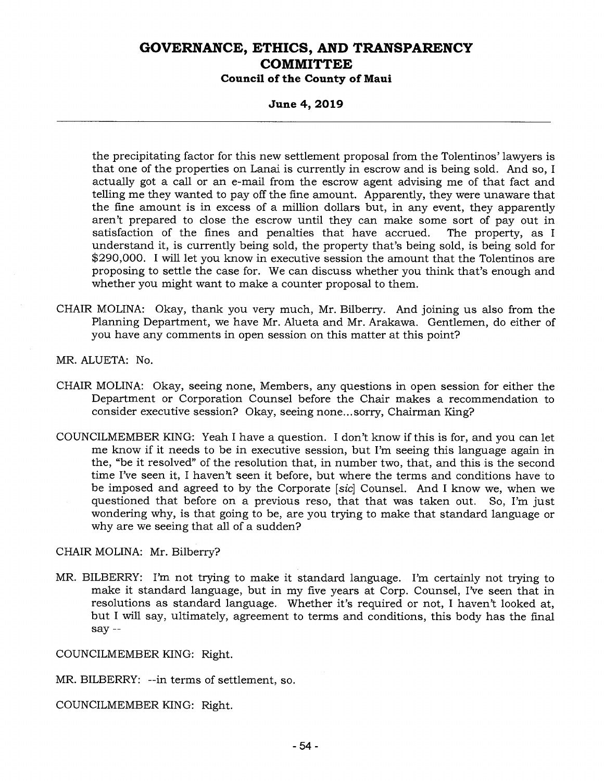**Council of the County of Maui** 

**June 4, 2019** 

the precipitating factor for this new settlement proposal from the Tolentinos' lawyers is that one of the properties on Lanai is currently in escrow and is being sold. And so, I actually got a call or an e-mail from the escrow agent advising me of that fact and telling me they wanted to pay off the fine amount. Apparently, they were unaware that the fine amount is in excess of a million dollars but, in any event, they apparently aren't prepared to close the escrow until they can make some sort of pay out in satisfaction of the fines and penalties that have accrued. The property, as I understand it, is currently being sold, the property that's being sold, is being sold for \$290,000. I will let you know in executive session the amount that the Tolentinos are proposing to settle the case for. We can discuss whether you think that's enough and whether you might want to make a counter proposal to them.

CHAIR MOLINA: Okay, thank you very much, Mr. Bilberry. And joining us also from the Planning Department, we have Mr. Alueta and Mr. Arakawa. Gentlemen, do either of you have any comments in open session on this matter at this point?

MR. ALUETA: No.

- CHAIR MOLINA: Okay, seeing none, Members, any questions in open session for either the Department or Corporation Counsel before the Chair makes a recommendation to consider executive session? Okay, seeing none... sorry, Chairman King?
- COUNCILMEMBER KING: Yeah I have a question. I don't know if this is for, and you can let me know if it needs to be in executive session, but I'm seeing this language again in the, "be it resolved" of the resolution that, in number two, that, and this is the second time I've seen it, I haven't seen it before, but where the terms and conditions have to be imposed and agreed to by the Corporate *[sic]* Counsel. And I know we, when we questioned that before on a previous reso, that that was taken out. So, I'm just wondering why, is that going to be, are you trying to make that standard language or why are we seeing that all of a sudden?

CHAIR MOLINA: Mr. Bilberry?

MR. BILBERRY: I'm not trying to make it standard language. I'm certainly not trying to make it standard language, but in my five years at Corp. Counsel, I've seen that in resolutions as standard language. Whether it's required or not, I haven't looked at, but I will say, ultimately, agreement to terms and conditions, this body has the final say --

COUNCILMEMBER KING: Right.

MR. BILBERRY: --in terms of settlement, so.

COUNCILMEMBER KING: Right.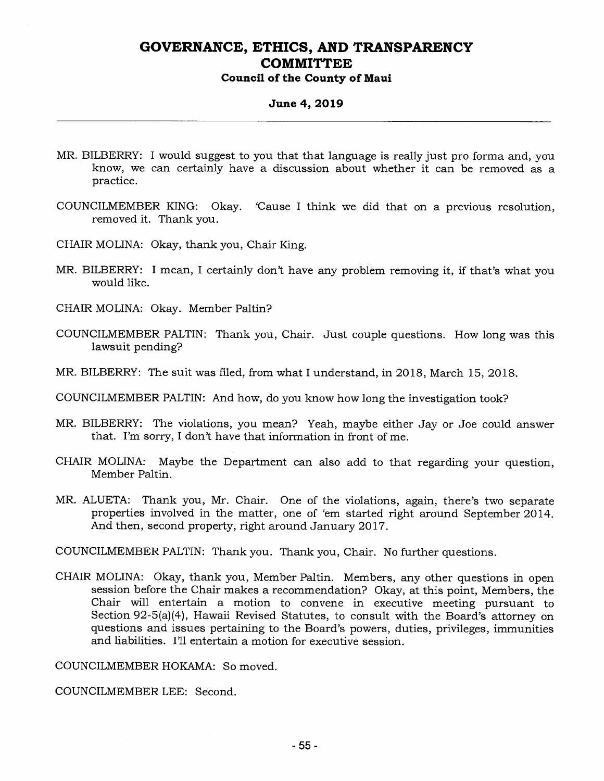#### **Council of the County of Maui**

#### **June 4, 2019**

- MR. BILBERRY: I would suggest to you that that language is really just pro forma and, you know, we can certainly have a discussion about whether it can be removed as a practice.
- COUNCILMEMBER KING: Okay. 'Cause I think we did that on a previous resolution, removed it. Thank you.
- CHAIR MOLINA: Okay, thank you, Chair King.
- MR. BILBERRY: I mean, I certainly don't have any problem removing it, if that's what you would like.
- CHAIR MOLINA: Okay. Member Paltin?
- COUNCILMEMBER PALTIN: Thank you, Chair. Just couple questions. How long was this lawsuit pending?
- MR. BILBERRY: The suit was filed, from what I understand, in 2018, March 15, 2018.
- COUNCILMEMBER PALTIN: And how, do you know how long the investigation took?
- MR. BILBERRY: The violations, you mean? Yeah, maybe either Jay or Joe could answer that. I'm sorry, I don't have that information in front of me.
- CHAIR MOLINA: Maybe the Department can also add to that regarding your question, Member Paltin.
- MR. ALUETA: Thank you, Mr. Chair. One of the violations, again, there's two separate properties involved in the matter, one of 'em started right around September 2014. And then, second property, right around January 2017.

COUNCILMEMBER PALTIN: Thank you. Thank you, Chair. No further questions.

CHAIR MOLINA: Okay, thank you, Member Paltin. Members, any other questions in open session before the Chair makes a recommendation? Okay, at this point, Members, the Chair will entertain a motion to convene in executive meeting pursuant to Section 92-5(a)(4), Hawaii Revised Statutes, to consult with the Board's attorney on questions and issues pertaining to the Board's powers, duties, privileges, immunities and liabilities. I'll entertain a motion for executive session.

COUNCILMEMBER HOKAMA: So moved.

COUNCILMEMBER LEE: Second.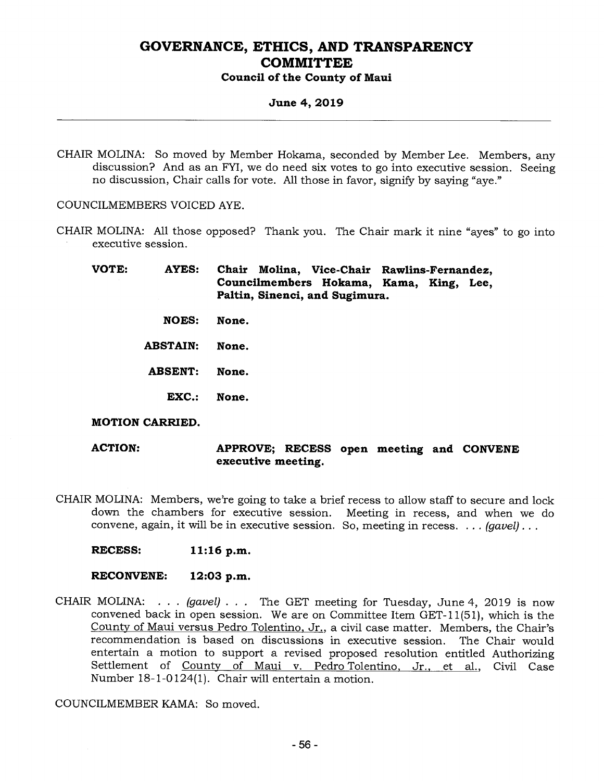#### **Council of the County of Maui**

#### **June 4, 2019**

CHAIR MOLINA: So moved by Member Hokama, seconded by Member Lee. Members, any discussion? And as an FYI, we do need six votes to go into executive session. Seeing no discussion, Chair calls for vote. All those in favor, signify by saying "aye."

COUNCILMEMBERS VOICED AYE.

CHAIR MOLINA: All those opposed? Thank you. The Chair mark it nine "ayes" to go into executive session.

**VOTE: AYES: Chair Molina, Vice-Chair Rawlins-Fernandez, Councilmembers Hokama, Kama, King, Lee, Paltin, Sinenci, and Sugimura.** 

- **NOES: None.**
- **ABSTAIN: None.**
- **ABSENT: None.** 
	- **EXC.: None.**

#### **MOTION CARRIED.**

**ACTION: APPROVE; RECESS open meeting and CONVENE executive meeting.** 

- CHAIR MOLINA: Members, we're going to take a brief recess to allow staff to secure and lock down the chambers for executive session. Meeting in recess, and when we do convene, again, it will be in executive session. So, meeting in recess. . . . *(gavel) . . .* 
	- **RECESS: 11:16 p.m.**

#### **RECONVENE: 12:03 p.m.**

CHAIR MOLINA: . . . *(gavel) . . .* The GET meeting for Tuesday, June 4, 2019 is now convened back in open session. We are on Committee Item GET-11(51), which is the County of Maui versus Pedro Tolentino, Jr., a civil case matter. Members, the Chair's recommendation is based on discussions in executive session. The Chair would entertain a motion to support a revised proposed resolution entitled Authorizing Settlement of County of Maui v. Pedro Tolentino, Jr., et al., Civil Case Number 18-1-0124(1). Chair will entertain a motion.

COUNCILMEMBER KAMA: So moved.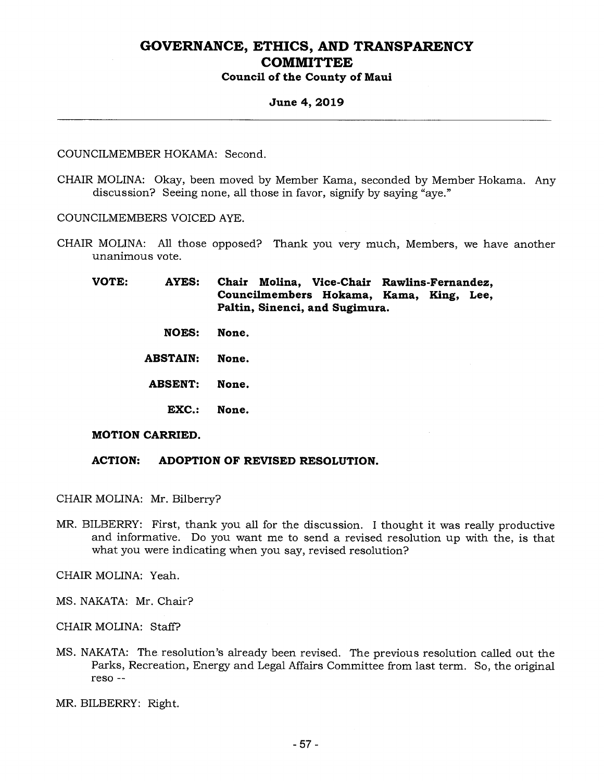### **June 4, 2019**

#### COUNCILMEMBER HOKAMA: Second.

CHAIR MOLINA: Okay, been moved by Member Kama, seconded by Member Hokama. Any discussion? Seeing none, all those in favor, signify by saying "aye."

COUNCILMEMBERS VOICED AYE.

CHAIR MOLINA: All those opposed? Thank you very much, Members, we have another unanimous vote.

**VOTE: AYES: Chair Molina, Vice-Chair Rawlins-Fernandez, Councilmembers Hokama, Kama, King, Lee, Paltin, Sinenci, and Sugimura.** 

- **NOES: None.**
- **ABSTAIN: None.**

**ABSENT: None.** 

**EXC.: None.** 

#### **MOTION CARRIED.**

#### **ACTION: ADOPTION OF REVISED RESOLUTION.**

CHAIR MOLINA: Mr. Bilberry?

MR. BILBERRY: First, thank you all for the discussion. I thought it was really productive and informative. Do you want me to send a revised resolution up with the, is that what you were indicating when you say, revised resolution?

CHAIR MOLINA: Yeah.

- MS. NAKATA: Mr. Chair?
- CHAIR MOLINA: Staff?
- MS. NAKATA: The resolution's already been revised. The previous resolution called out the Parks, Recreation, Energy and Legal Affairs Committee from last term. So, the original reso

MR. BILBERRY: Right.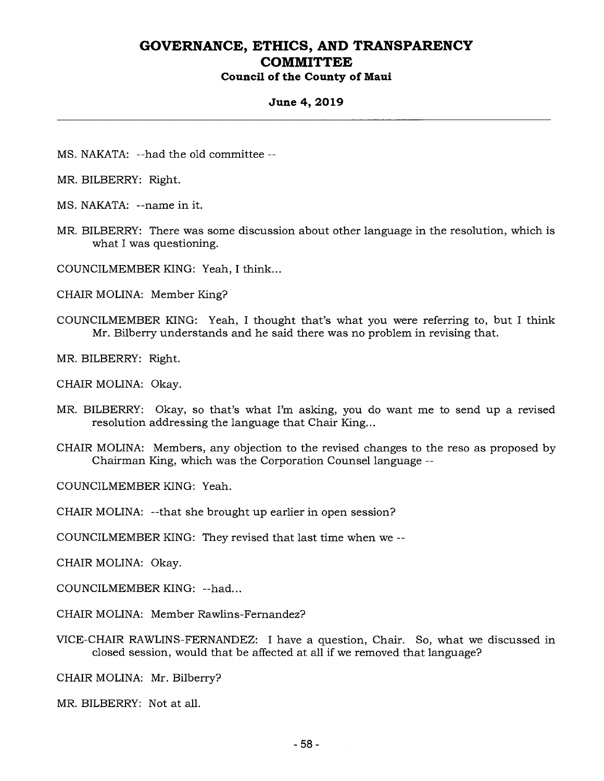### **Council of the County of Maui**

#### **June 4, 2019**

- MS. NAKATA: --had the old committee --
- MR. BILBERRY: Right.
- MS. NAKATA: --name in it.
- MR. BILBERRY: There was some discussion about other language in the resolution, which is what I was questioning.
- COUNCILMEMBER KING: Yeah, I think...
- CHAIR MOLINA: Member King?
- COUNCILMEMBER KING: Yeah, I thought that's what you were referring to, but I think Mr. Bilberry understands and he said there was no problem in revising that.
- MR. BILBERRY: Right.
- CHAIR MOLINA: Okay.
- MR. BILBERRY: Okay, so that's what I'm asking, you do want me to send up a revised resolution addressing the language that Chair King...
- CHAIR MOLINA: Members, any objection to the revised changes to the reso as proposed by Chairman King, which was the Corporation Counsel language --

COUNCILMEMBER KING: Yeah.

CHAIR MOLINA: --that she brought up earlier in open session?

COUNCILMEMBER KING: They revised that last time when we --

CHAIR MOLINA: Okay.

COUNCILMEMBER KING: --had...

CHAIR MOLINA: Member Rawlins-Fernandez?

VICE-CHAIR RAWLINS-FERNANDEZ: I have a question, Chair. So, what we discussed in closed session, would that be affected at all if we removed that language?

CHAIR MOLINA: Mr. Bilberry?

MR. BILBERRY: Not at all.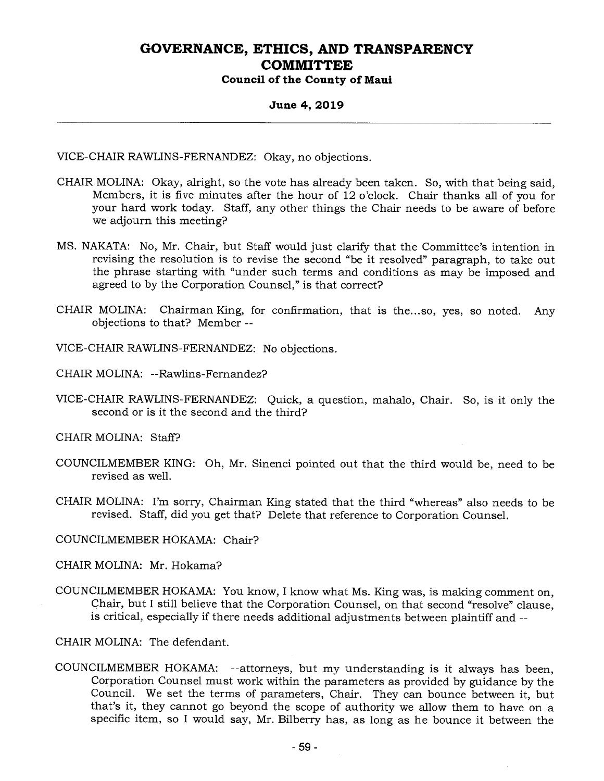#### **June 4, 2019**

VICE-CHAIR RAWLINS-FERNANDEZ: Okay, no objections.

- CHAIR MOLINA: Okay, alright, so the vote has already been taken. So, with that being said, Members, it is five minutes after the hour of 12 o'clock. Chair thanks all of you for your hard work today. Staff, any other things the Chair needs to be aware of before we adjourn this meeting?
- MS. NAKATA: No, Mr. Chair, but Staff would just clarify that the Committee's intention in revising the resolution is to revise the second "be it resolved" paragraph, to take out the phrase starting with "under such terms and conditions as may be imposed and agreed to by the Corporation Counsel," is that correct?
- CHAIR MOLINA: Chairman King, for confirmation, that is the...so, yes, so noted. Any objections to that? Member --
- VICE-CHAIR RAWLINS-FERNANDEZ: No objections.
- CHAIR MOLINA: --Rawlins-Fernandez?
- VICE-CHAIR RAWLINS-FERNANDEZ: Quick, a question, mahalo, Chair. So, is it only the second or is it the second and the third?
- CHAIR MOLINA: Staff?
- COUNCILMEMBER KING: Oh, Mr. Sinenci pointed out that the third would be, need to be revised as well.
- CHAIR MOLINA: I'm sorry, Chairman King stated that the third "whereas" also needs to be revised. Staff, did you get that? Delete that reference to Corporation Counsel.
- COUNCILMEMBER HOKAMA: Chair?
- CHAIR MOLINA: Mr. Hokama?
- COUNCILMEMBER HOKAMA: You know, I know what Ms. King was, is making comment on, Chair, but I still believe that the Corporation Counsel, on that second "resolve" clause, is critical, especially if there needs additional adjustments between plaintiff and --
- CHAIR MOLINA: The defendant.
- COUNCILMEMBER HOKAMA: --attorneys, but my understanding is it always has been, Corporation Counsel must work within the parameters as provided by guidance by the Council. We set the terms of parameters, Chair. They can bounce between it, but that's it, they cannot go beyond the scope of authority we allow them to have on a specific item, so I would say, Mr. Bilberry has, as long as he bounce it between the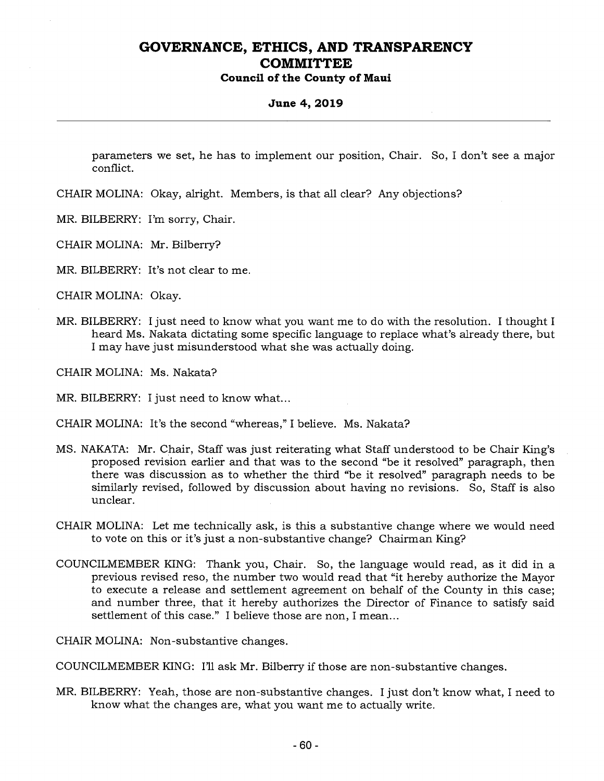### **Council of the County of Maui**

#### **June 4, 2019**

parameters we set, he has to implement our position, Chair. So, I don't see a major conflict.

- CHAIR MOLINA: Okay, alright. Members, is that all clear? Any objections?
- MR. BILBERRY: I'm sorry, Chair.
- CHAIR MOLINA: Mr. Bilberry?
- MR. BILBERRY: It's not clear to me.
- CHAIR MOLINA: Okay.
- MR. BILBERRY: I just need to know what you want me to do with the resolution. I thought I heard Ms. Nakata dictating some specific language to replace what's already there, but I may have just misunderstood what she was actually doing.
- CHAIR MOLINA: Ms. Nakata?
- MR. BILBERRY: I just need to know what...
- CHAIR MOLINA: It's the second "whereas," I believe. Ms. Nakata?
- MS. NAKATA: Mr. Chair, Staff was just reiterating what Staff understood to be Chair King's proposed revision earlier and that was to the second "be it resolved" paragraph, then there was discussion as to whether the third "be it resolved" paragraph needs to be similarly revised, followed by discussion about having no revisions. So, Staff is also unclear.
- CHAIR MOLINA: Let me technically ask, is this a substantive change where we would need to vote on this or it's just a non-substantive change? Chairman King?
- COUNCILMEMBER KING: Thank you, Chair. So, the language would read, as it did in a previous revised reso, the number two would read that "it hereby authorize the Mayor to execute a release and settlement agreement on behalf of the County in this case; and number three, that it hereby authorizes the Director of Finance to satisfy said settlement of this case." I believe those are non, I mean...
- CHAIR MOLINA: Non-substantive changes.

COUNCILMEMBER KING: I'll ask Mr. Bilberry if those are non-substantive changes.

MR. BILBERRY: Yeah, those are non-substantive changes. I just don't know what, I need to know what the changes are, what you want me to actually write.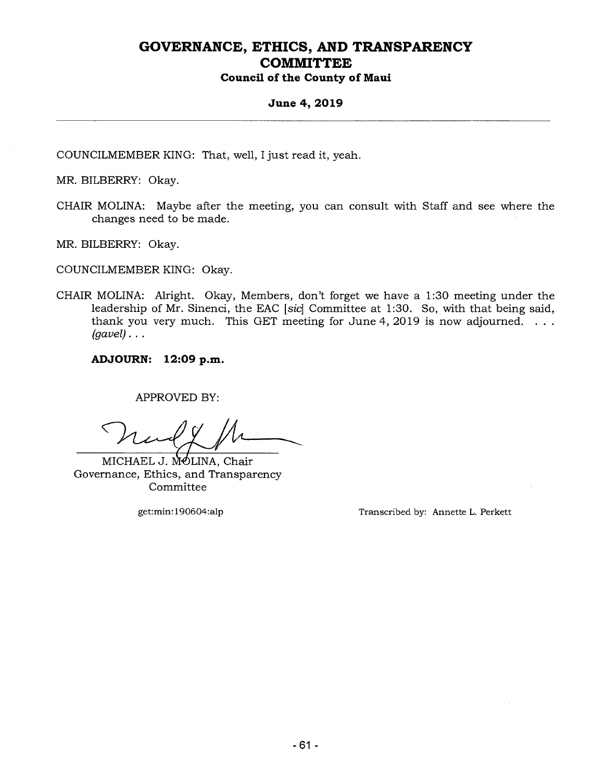#### **June 4, 2019**

COUNCILMEMBER KING: That, well, I just read it, yeah.

MR. BILBERRY: Okay.

CHAIR MOLINA: Maybe after the meeting, you can consult with Staff and see where the changes need to be made.

MR. BILBERRY: Okay.

COUNCILMEMBER KING: Okay.

CHAIR MOLINA: Alright. Okay, Members, don't forget we have a 1:30 meeting under the leadership of Mr. Sinenci, the EAC *[sic]* Committee at 1:30. So, with that being said, thank you very much. This GET meeting for June 4, 2019 is now adjourned.  $\dots$ *(gavel) . . .* 

**ADJOURN: 12:09 p.m.** 

APPROVED BY:

MICHAEL J. MOLINA, Chair Governance, Ethics, and Transparency Committee

get:min:190604:alp Transcribed by: Annette L. Perkett